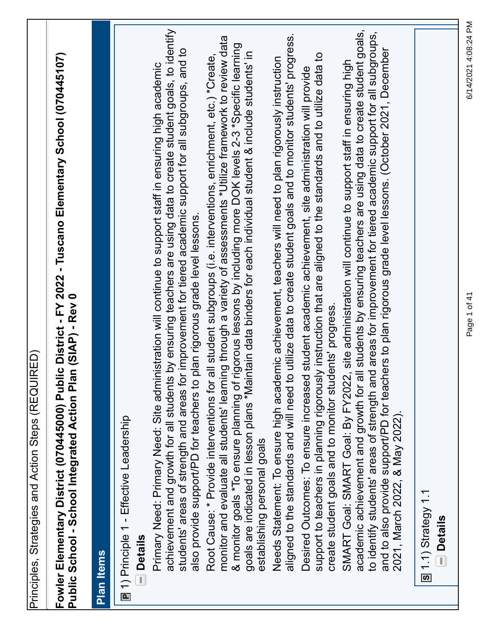| Fowler Elementary District (070445000) Public District - FY 2022 - Tuscano Elementary School (070445107)<br>n (SIAP) - Rev 0<br><b>Public School - School Integrated Action Plan</b>                                                   |
|----------------------------------------------------------------------------------------------------------------------------------------------------------------------------------------------------------------------------------------|
|                                                                                                                                                                                                                                        |
| <b>Plan Items</b>                                                                                                                                                                                                                      |
| [ 1) Principle 1 - Effective Leadership                                                                                                                                                                                                |
| <b>Details</b><br>T)                                                                                                                                                                                                                   |
| by ensuring teachers are using data to create student goals, to identify<br>Primary Need: Primary Need: Site administration will continue to support staff in ensuring high academic<br>achievement and growth for all students        |
| students' areas of strength and areas for improvement for tiered academic support for all subgroups, and to<br>also provide support/PD for teachers to plan rigorous grade level lessons.                                              |
| Root Cause: * Provide interventions for all student subgroups (i.e. interventions, enrichment, etc.) *Create,                                                                                                                          |
| monitor and evaluate all students' learning through a variety of assessments *Utilize framework to review data                                                                                                                         |
| & monitor goals *To ensure planning of rigorous lessons by including more DOK levels 2-3 *Specific learning<br>goals are indicated in lesson plans *Maintain data binders for each individual student & include students' in           |
| establishing personal goals                                                                                                                                                                                                            |
| aligned to the standards and will need to utilize data to create student goals and to monitor students' progress.<br>Needs Statement: To ensure high academic achievement, teachers will need to plan rigorously instruction           |
| student academic achievement, site administration will provide<br>Desired Outcomes: To ensure increased                                                                                                                                |
| support to teachers in planning rigorously instruction that are aligned to the standards and to utilize data to                                                                                                                        |
| create student goals and to monitor students' progress.                                                                                                                                                                                |
| site administration will continue to support staff in ensuring high<br>SMART Goal: SMART Goal: By FY2022,                                                                                                                              |
| Il students by ensuring teachers are using data to create student goals,<br>to identify students' areas of strength and areas for improvement for tiered academic support for all subgroups,<br>academic achievement and growth for al |
| and to also provide support/PD for teachers to plan rigorous grade level lessons. (October 2021, December                                                                                                                              |
| 2021, March 2022, & May 2022).                                                                                                                                                                                                         |
| $\boxed{5}$ 1.1) Strategy 1.1                                                                                                                                                                                                          |
| <b>Details</b>                                                                                                                                                                                                                         |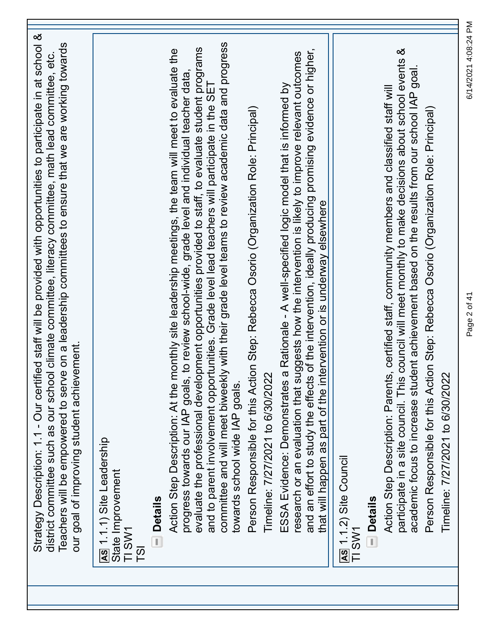| Strategy Description: 1.1 - Our certified staff will be provided with opportunities to participate in at school &<br>Teachers will be empowered to serve on a leadership committees to ensure that we are working towards<br>district committee such as our school climate committee, literacy committee, math lead committee, etc.<br>our goal of improving student achievement.                                                           |
|---------------------------------------------------------------------------------------------------------------------------------------------------------------------------------------------------------------------------------------------------------------------------------------------------------------------------------------------------------------------------------------------------------------------------------------------|
| As 1.1.1) Site Leadership<br>State Improvement<br>TI SW1<br>T <sub>S</sub> I                                                                                                                                                                                                                                                                                                                                                                |
| <b>Details</b>                                                                                                                                                                                                                                                                                                                                                                                                                              |
| evaluate the professional development opportunities provided to staff, to evaluate student programs<br>monthly site leadership meetings, the team will meet to evaluate the<br>progress towards our IAP goals, to review school-wide, grade level and individual teacher data,<br>Action Step Description: At the                                                                                                                           |
| committee and will meet biweekly with their grade level teams to review academic data and progress<br>and to parent involvement opportunities. Grade level lead teachers will participate in the SET<br>towards school wide IAP goals.                                                                                                                                                                                                      |
| Person Responsible for this Action Step: Rebecca Osorio (Organization Role: Principal)<br>Timeline: 7/27/2021 to 6/30/2022                                                                                                                                                                                                                                                                                                                  |
| and an effort to study the effects of the intervention, ideally producing promising evidence or higher,<br>research or an evaluation that suggests how the intervention is likely to improve relevant outcomes<br>a Rationale - A well-specified logic model that is informed by<br>that will happen as part of the intervention or is underway elsewhere<br>ESSA Evidence: Demonstrates                                                    |
| <b>As 1.1.2) Site Council</b><br>TI SW1                                                                                                                                                                                                                                                                                                                                                                                                     |
| <b>Details</b>                                                                                                                                                                                                                                                                                                                                                                                                                              |
| participate in a site council. This council will meet monthly to make decisions about school events &<br>academic focus to increase student achievement based on the results from our school IAP goal.<br>Action Step Description: Parents, certified staff, community members and classified staff will<br>Person Responsible for this Action Step: Rebecca Osorio (Organization Role: Principal)<br>Ž,<br>Timeline: 7/27/2021 to 6/30/202 |

Page 2 of 41 6/14/2021 4:08:24 PM

Page 2 of 41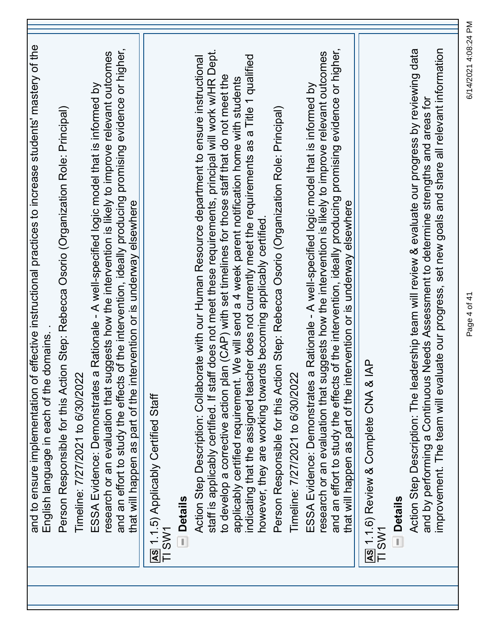| and to ensure implementation of effective instructional practices to increase students' mastery of the<br>English language in each of the domains                                                                                                                                                                 |
|-------------------------------------------------------------------------------------------------------------------------------------------------------------------------------------------------------------------------------------------------------------------------------------------------------------------|
| Person Responsible for this Action Step: Rebecca Osorio (Organization Role: Principal)                                                                                                                                                                                                                            |
| Timeline: 7/27/2021 to 6/30/2022                                                                                                                                                                                                                                                                                  |
| and an effort to study the effects of the intervention, ideally producing promising evidence or higher,<br>iggests how the intervention is likely to improve relevant outcomes<br>ESSA Evidence: Demonstrates a Rationale - A well-specified logic model that is informed by<br>research or an evaluation that su |
| that will happen as part of the intervention or is underway elsewhere                                                                                                                                                                                                                                             |
| As 1.1.5) Applicably Certified Staff<br>TI SW1                                                                                                                                                                                                                                                                    |
| <b>Details</b><br>ij                                                                                                                                                                                                                                                                                              |
| staff is applicably certified. If staff does not meet these requirements, principal will work w/HR Dept.<br>Action Step Description: Collaborate with our Human Resource department to ensure instructional                                                                                                       |
| to develop a corrective action plan (CAP) with set timelines for those staff that do not meet the<br>We will send a 4 week parent notification home with students<br>applicably certified requirement.                                                                                                            |
| indicating that the assigned teacher does not currently meet the requirements as a Title 1 qualified<br>however, they are working towards becoming applicably certified                                                                                                                                           |
| Person Responsible for this Action Step: Rebecca Osorio (Organization Role: Principal)                                                                                                                                                                                                                            |
| Timeline: 7/27/2021 to 6/30/2022                                                                                                                                                                                                                                                                                  |
| research or an evaluation that suggests how the intervention is likely to improve relevant outcomes<br>ESSA Evidence: Demonstrates a Rationale - A well-specified logic model that is informed by                                                                                                                 |
| of the intervention, ideally producing promising evidence or higher,<br>that will happen as part of the intervention or is underway elsewhere<br>and an effort to study the effects                                                                                                                               |
| AS 1.1.6) Review & Complete CNA & IAP<br>TI SW1                                                                                                                                                                                                                                                                   |
| <b>Details</b>                                                                                                                                                                                                                                                                                                    |
| Action Step Description: The leadership team will review & evaluate our progress by reviewing data<br>Needs Assessment to determine strengths and areas for<br>and by performing a Continuous                                                                                                                     |
| uate our progress, set new goals and share all relevant information<br>improvement. The team will eval                                                                                                                                                                                                            |

Page 4 of 41 6/14/2021 4:08:24 PM

Page 4 of 41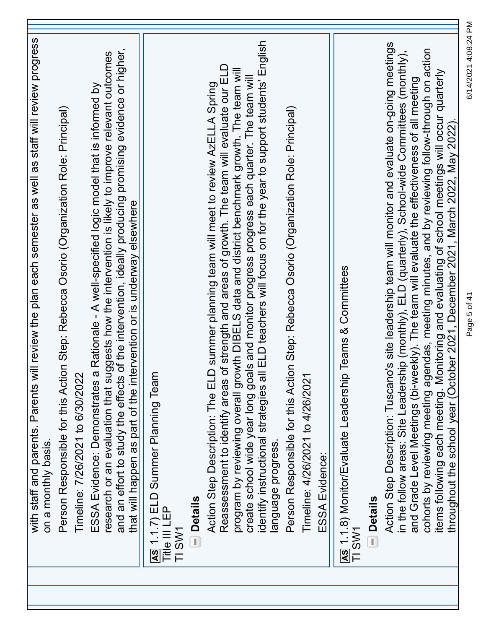| and an effort to study the effects of the intervention, ideally producing promising evidence or higher,<br>research or an evaluation that suggests how the intervention is likely to improve relevant outcomes<br>ESSA Evidence: Demonstrates a Rationale - A well-specified logic model that is informed by<br>Person Responsible for this Action Step: Rebecca Osorio (Organization Role: Principal)<br>that will happen as part of the intervention or is underway elsewhere<br>Timeline: 7/26/2021 to 6/30/2022<br>on a monthly basis. | AS 1.1.7) ELD Summer Planning Team<br><b>Details</b><br>Title III LEP<br>TI SW1 | identify instructional strategies all ELD teachers will focus on for the year to support students' English<br>Reassessment to identify areas of strength and areas of growth. The team will evaluate our ELD<br>program by reviewing overall growth DIBELS data and district benchmark growth. The team will<br>create school wide year long goals and monitor progress progress each quarter. The team will<br>D summer planning team will meet to review AzELLA Spring<br>Action Step Description: The EL<br>language progress. | Person Responsible for this Action Step: Rebecca Osorio (Organization Role: Principal)<br>Timeline: 4/26/2021 to 4/26/2021<br>ESSA Evidence: | Teams & Committees<br>AS 1.1.8) Monitor/Evaluate Leadership<br><b>Details</b><br>TI SW1 | Action Step Description: Tuscano's site leadership team will monitor and evaluate on-going meetings<br>cohorts by reviewing meeting agendas, meeting minutes, and by reviewing follow-through on action<br>in the follow areas: Site Leadership (monthly), ELD (quarterly), School-wide Committees (monthly),<br>items follówing each meeting. Monitoring and evaluating of school meetings will occur quarterly<br>throughout the school year (October 2021, December 2021, March 2022, May 2022).<br>and Grade Level Meetings (bi-weekly). The team will evaluate the effectiveness of all meeting | 6/14/2021 4:08:24 PM<br>Page 5 of 41 |
|--------------------------------------------------------------------------------------------------------------------------------------------------------------------------------------------------------------------------------------------------------------------------------------------------------------------------------------------------------------------------------------------------------------------------------------------------------------------------------------------------------------------------------------------|---------------------------------------------------------------------------------|-----------------------------------------------------------------------------------------------------------------------------------------------------------------------------------------------------------------------------------------------------------------------------------------------------------------------------------------------------------------------------------------------------------------------------------------------------------------------------------------------------------------------------------|----------------------------------------------------------------------------------------------------------------------------------------------|-----------------------------------------------------------------------------------------|------------------------------------------------------------------------------------------------------------------------------------------------------------------------------------------------------------------------------------------------------------------------------------------------------------------------------------------------------------------------------------------------------------------------------------------------------------------------------------------------------------------------------------------------------------------------------------------------------|--------------------------------------|
|                                                                                                                                                                                                                                                                                                                                                                                                                                                                                                                                            |                                                                                 |                                                                                                                                                                                                                                                                                                                                                                                                                                                                                                                                   |                                                                                                                                              |                                                                                         |                                                                                                                                                                                                                                                                                                                                                                                                                                                                                                                                                                                                      |                                      |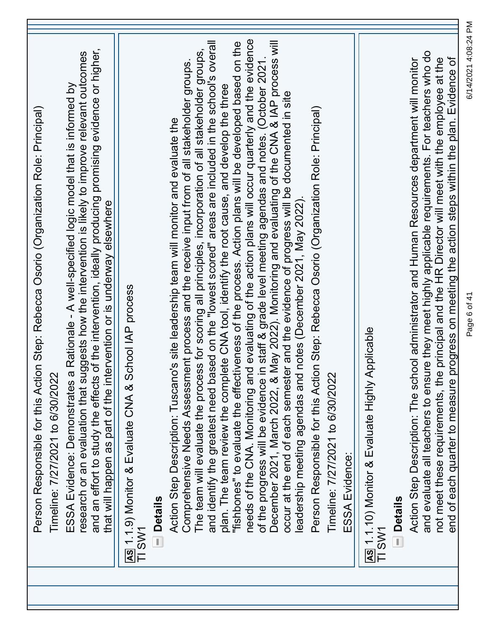| Person Responsible for this Action Step: Rebecca Osorio (Organization Role: Principal)                                                                                                                                                                                                                                                                                                |
|---------------------------------------------------------------------------------------------------------------------------------------------------------------------------------------------------------------------------------------------------------------------------------------------------------------------------------------------------------------------------------------|
| Timeline: 7/27/2021 to 6/30/2022                                                                                                                                                                                                                                                                                                                                                      |
| and an effort to study the effects of the intervention, ideally producing promising evidence or higher,<br>research or an evaluation that suggests how the intervention is likely to improve relevant outcomes<br>ESSA Evidence: Demonstrates a Rationale - A well-specified logic model that is informed by<br>that will happen as part of the intervention or is underway elsewhere |
| AS 1.1.9) Monitor & Evaluate CNA & School IAP process<br>TI SW1                                                                                                                                                                                                                                                                                                                       |
| <b>Details</b>                                                                                                                                                                                                                                                                                                                                                                        |
| Comprehensive Needs Assessment process and the receive input from of all stakeholder groups.<br>Action Step Description: Tuscano's site leadership team will monitor and evaluate the                                                                                                                                                                                                 |
| The team will evaluate the process for scoring all principles, incorporation of all stakeholder groups,                                                                                                                                                                                                                                                                               |
| and identify the greatest need based on the "lowest scored" areas are included in the school's overall<br>plan. The team review the complete CNA tool, identify the root cause, and develop the three                                                                                                                                                                                 |
| "fishbones" to evaluate the effectiveness of the process. Action plans will be developed based on the                                                                                                                                                                                                                                                                                 |
| needs of the CNA. Monitoring and evaluating of the action plans will occur quarterly and the evidence                                                                                                                                                                                                                                                                                 |
| of the progress will be evidence in staff & grade level meeting agendas and notes. (October 2021.<br>December 2021, March 2022, & May 2022). Monitoring and evaluating of the CNA & IAP process will                                                                                                                                                                                  |
| occur at the end of each semester and the evidence of progress will be documented in site                                                                                                                                                                                                                                                                                             |
| leadership meeting agendas and notes (December 2021, May 2022)                                                                                                                                                                                                                                                                                                                        |
| Person Responsible for this Action Step: Rebecca Osorio (Organization Role: Principal)                                                                                                                                                                                                                                                                                                |
| Timeline: 7/27/2021 to 6/30/2022                                                                                                                                                                                                                                                                                                                                                      |
| ESSA Evidence:                                                                                                                                                                                                                                                                                                                                                                        |
| Anicable Highly Applicable<br>TI SW1                                                                                                                                                                                                                                                                                                                                                  |
| <b>Details</b>                                                                                                                                                                                                                                                                                                                                                                        |
| Action Step Description: The school administrator and Human Resources department will monitor                                                                                                                                                                                                                                                                                         |
| and evaluate all teachers to ensure they meet highly applicable requirements. For teachers who do                                                                                                                                                                                                                                                                                     |
| progress on meeting the action steps within the plan. Evidence of<br>not meet these requirements, the principal and the HR Director will meet with the employee at the<br>end of each quarter to measure                                                                                                                                                                              |
|                                                                                                                                                                                                                                                                                                                                                                                       |

Page 6 of 41 6/14/2021 4:08:24 PM

Page 6 of 41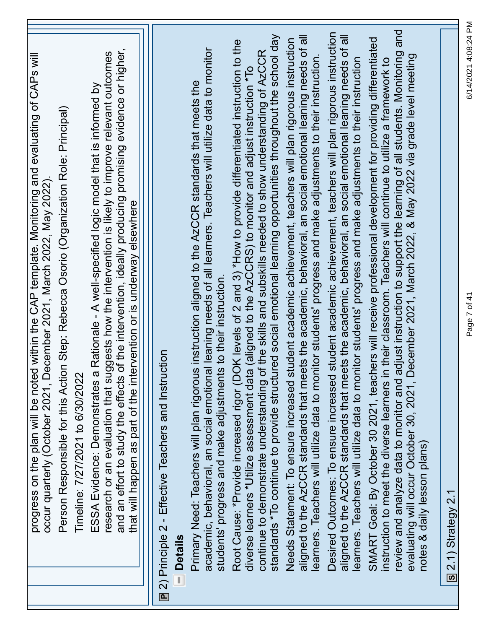| progress on the plan will be noted within the CAP template. Monitoring and evaluating of CAPs will<br>Person Responsible for this Action Step: Rebecca Osorio (Organization Role: Principal)<br>occur quarterly (October 2021, December 2021, March 2022, May 2022).                                                                           |
|------------------------------------------------------------------------------------------------------------------------------------------------------------------------------------------------------------------------------------------------------------------------------------------------------------------------------------------------|
| Timeline: 7/27/2021 to 6/30/2022                                                                                                                                                                                                                                                                                                               |
| of the intervention, ideally producing promising evidence or higher,<br>research or an evaluation that suggests how the intervention is likely to improve relevant outcomes<br>Rationale - A well-specified logic model that is informed by<br>ESSA Evidence: Demonstrates a<br>and an effort to study the effects                             |
| that will happen as part of the intervention or is underway elsewhere                                                                                                                                                                                                                                                                          |
| <b>E</b> 2) Principle 2 - Effective Teachers and Instruction                                                                                                                                                                                                                                                                                   |
| <b>Details</b><br>ī,                                                                                                                                                                                                                                                                                                                           |
| academic, behavioral, an social emotional leaning needs of all learners. Teachers will utilize data to monitor<br>Primary Need: Teachers will plan rigorous instruction aligned to the AzCCR standards that meets the<br>students' progress and make adjustments to their instruction.                                                         |
| Root Cause: *Provide increased rigor (DOK levels of 2 and 3) *How to provide differentiated instruction to the<br>diverse learners *Utilize assessment data (aligned to the AzCCRS) to monitor and adjust instruction *To                                                                                                                      |
| standards *To continue to provide structured social emotional learning opportunities throughout the school day<br>continue to demonstrate understanding of the skills and subskills needed to show understanding of AzCCR                                                                                                                      |
| aligned to the AzCCR standards that meets the academic, behavioral, an social emotional leaning needs of all<br>Needs Statement: To ensure increased student academic achievement, teachers will plan rigorous instruction<br>learners. Teachers will utilize data to monitor students' progress and make adjustments to their instruction     |
| student academic achievement, teachers will plan rigorous instruction<br>aligned to the AzCCR standards that meets the academic, behavioral, an social emotional leaning needs of all<br>learners. Teachers will utilize data to monitor students' progress and make adjustments to their instruction<br>Desired Outcomes: To ensure increased |
| SMART Goal: By October 30 2021, teachers will receive professional development for providing differentiated<br>instruction to meet the diverse learners in their classroom. Teachers will continue to utilize a framework to                                                                                                                   |
| review and analyze data to monitor and adjust instruction to support the learning of all students. Monitoring and<br>ecember 2021, March 2022, & May 2022 via grade level meeting<br>evaluating will occur October 30, 2021, D                                                                                                                 |
| notes & daily lesson plans)                                                                                                                                                                                                                                                                                                                    |
| $\overline{S}$ 2.1) Strategy 2.1                                                                                                                                                                                                                                                                                                               |

Page 7 of 41 6/14/2021 4:08:24 PM

Page 7 of 41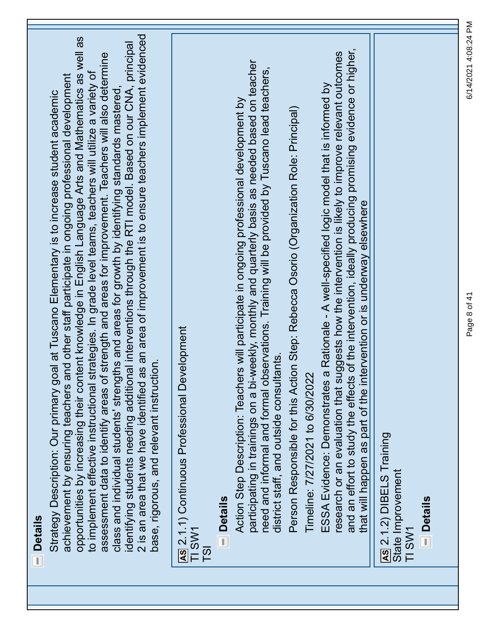| <b>Details</b>                                                                                                                                                                                                                                                                                                                                                                                                                                                                                                                                                                                                                                                                                                                                                                                                                                                                                                      |
|---------------------------------------------------------------------------------------------------------------------------------------------------------------------------------------------------------------------------------------------------------------------------------------------------------------------------------------------------------------------------------------------------------------------------------------------------------------------------------------------------------------------------------------------------------------------------------------------------------------------------------------------------------------------------------------------------------------------------------------------------------------------------------------------------------------------------------------------------------------------------------------------------------------------|
| 2 is an area that we have identified as an area of improvement is to ensure teachers implement evidenced<br>opportunities by increasing their content knowledge in English Language Arts and Mathematics as well as<br>identifying students needing additional interventions through the RTI model. Based on our CNA, principal<br>assessment data to identify areas of strength and areas for improvement. Teachers will also determine<br>trategies. In grade level teams, teachers will utilize a variety of<br>achievement by ensuring teachers and other staff participate in ongoing professional development<br>class and individual students' strengths and areas for growth by identifying standards mastered,<br>Strategy Description: Our primary goal at Tuscano Elementary is to increase student academic<br>ior.<br>to implement effective instructional s<br>base, rigorous, and relevant instructi |
| <b>AS</b> 2.1.1) Continuous Professional Development<br>TI SW1<br>T <sub>S</sub>                                                                                                                                                                                                                                                                                                                                                                                                                                                                                                                                                                                                                                                                                                                                                                                                                                    |
| <b>Details</b>                                                                                                                                                                                                                                                                                                                                                                                                                                                                                                                                                                                                                                                                                                                                                                                                                                                                                                      |
| participating in trainings on a bi-weekly, monthly and quarterly basis as needed based on teacher<br>need and informal and formal observations. Training will be provided by Tuscano lead teachers,<br>Action Step Description: Teachers will participate in ongoing professional development by<br>district staff, and outside consultants.                                                                                                                                                                                                                                                                                                                                                                                                                                                                                                                                                                        |
| Person Responsible for this Action Step: Rebecca Osorio (Organization Role: Principal)<br>Timeline: 7/27/2021 to 6/30/2022                                                                                                                                                                                                                                                                                                                                                                                                                                                                                                                                                                                                                                                                                                                                                                                          |
| and an effort to study the effects of the intervention, ideally producing promising evidence or higher,<br>research or an evaluation that suggests how the intervention is likely to improve relevant outcomes<br>ESSA Evidence: Demonstrates a Rationale - A well-specified logic model that is informed by<br>that will happen as part of the intervention or is underway elsewhere                                                                                                                                                                                                                                                                                                                                                                                                                                                                                                                               |
| AS 2.1.2) DIBELS Training<br>State Improvement<br>TI SW1                                                                                                                                                                                                                                                                                                                                                                                                                                                                                                                                                                                                                                                                                                                                                                                                                                                            |
| <b>Details</b>                                                                                                                                                                                                                                                                                                                                                                                                                                                                                                                                                                                                                                                                                                                                                                                                                                                                                                      |
|                                                                                                                                                                                                                                                                                                                                                                                                                                                                                                                                                                                                                                                                                                                                                                                                                                                                                                                     |

Page 8 of 41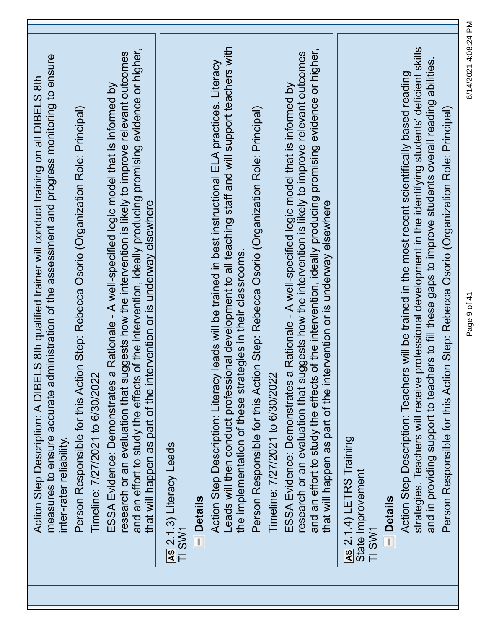| measures to ensure accurate administration of the assessment and progress monitoring to ensure<br>Action Step Description: A DIBELS 8th qualified trainer will conduct training on all DIBELS 8th<br>inter-rater reliability.                                                                                                                                                            |
|------------------------------------------------------------------------------------------------------------------------------------------------------------------------------------------------------------------------------------------------------------------------------------------------------------------------------------------------------------------------------------------|
| Person Responsible for this Action Step: Rebecca Osorio (Organization Role: Principal)<br>Timeline: 7/27/2021 to 6/30/2022                                                                                                                                                                                                                                                               |
| and an effort to study the effects of the intervention, ideally producing promising evidence or higher,<br>research or an evaluation that suggests how the intervention is likely to improve relevant outcomes<br>ESSA Evidence: Demonstrates a Rationale - A well-specified logic model that is informed by<br>that will happen as part of the intervention or is underway elsewhere    |
| AS 2.1.3) Literacy Leads<br>TI SW1                                                                                                                                                                                                                                                                                                                                                       |
| <b>Details</b>                                                                                                                                                                                                                                                                                                                                                                           |
| Leads will then conduct professional development to all teaching staff and will support teachers with<br>Action Step Description: Literacy leads will be trained in best instructional ELA practices. Literacy<br>the implementation of these strategies in their classrooms.                                                                                                            |
| Person Responsible for this Action Step: Rebecca Osorio (Organization Role: Principal)<br>Timeline: 7/27/2021 to 6/30/2022                                                                                                                                                                                                                                                               |
| and an effort to study the effects of the intervention, ideally producing promising evidence or higher,<br>research or an evaluation that suggests how the intervention is likely to improve relevant outcomes<br>a Rationale - A well-specified logic model that is informed by<br>that will happen as part of the intervention or is underway elsewhere<br>ESSA Evidence: Demonstrates |
| <b>AS</b> 2.1.4) LETRS Training<br>State Improvement<br>TI SW1                                                                                                                                                                                                                                                                                                                           |
| strategies. Teachers will receive professional development in the identifying students' deficient skills<br>and in providing support to teachers to fill these gaps to improve students overall reading abilities.<br>Action Step Description: Teachers will be trained in the most recent scientifically based reading<br><b>Details</b>                                                |
| Person Responsible for this Action Step: Rebecca Osorio (Organization Role: Principal)                                                                                                                                                                                                                                                                                                   |

Page 9 of 41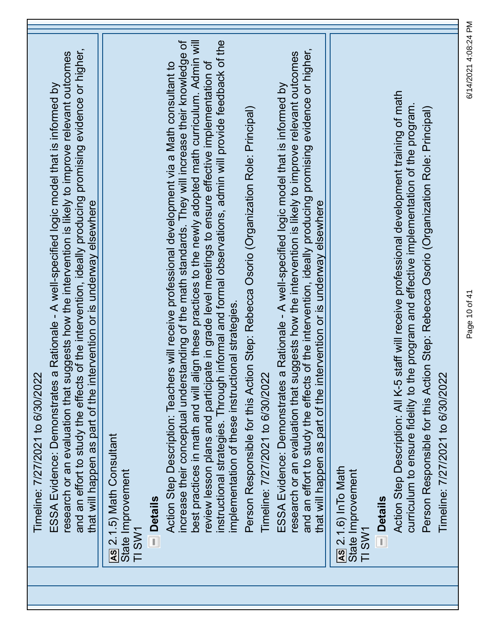| Timeline: 7/27/2021 to 6/30/2022                                                                                                                                                                                                                                                                                                                                                                                                                                                                                                                                                       |
|----------------------------------------------------------------------------------------------------------------------------------------------------------------------------------------------------------------------------------------------------------------------------------------------------------------------------------------------------------------------------------------------------------------------------------------------------------------------------------------------------------------------------------------------------------------------------------------|
| and an effort to study the effects of the intervention, ideally producing promising evidence or higher,<br>research or an evaluation that suggests how the intervention is likely to improve relevant outcomes<br>ESSA Evidence: Demonstrates a Rationale - A well-specified logic model that is informed by<br>that will happen as part of the intervention or is underway elsewhere                                                                                                                                                                                                  |
| AS 2.1.5) Math Consultant<br>State Improvement<br>TI SW1                                                                                                                                                                                                                                                                                                                                                                                                                                                                                                                               |
| <b>Details</b>                                                                                                                                                                                                                                                                                                                                                                                                                                                                                                                                                                         |
| instructional strategies. Through informal and formal observations, admin will provide feedback of the<br>increase their conceptual understanding of the math standards. They will increase their knowledge of<br>best practices in math and will align these practices to the newly adopted math curriculum. Admin will<br>review lesson plans and participate in grade level meetings to ensure effective implementation of<br>Action Step Description: Teachers will receive professional development via a Math consultant to<br>implementation of these instructional strategies. |
| Person Responsible for this Action Step: Rebecca Osorio (Organization Role: Principal)<br>Timeline: 7/27/2021 to 6/30/2022                                                                                                                                                                                                                                                                                                                                                                                                                                                             |
| and an effort to study the effects of the intervention, ideally producing promising evidence or higher,<br>research or an evaluation that suggests how the intervention is likely to improve relevant outcomes<br>ESSA Evidence: Demonstrates a Rationale - A well-specified logic model that is informed by<br>that will happen as part of the intervention or is underway elsewhere                                                                                                                                                                                                  |
| <b>AS</b> 2.1.6) In To Math<br>State Improvement<br>TI SW1                                                                                                                                                                                                                                                                                                                                                                                                                                                                                                                             |
| staff will receive professional development training of math<br>curriculum to ensure fidelity to the program and effective implementation of the program.<br>Person Responsible for this Action Step: Rebecca Osorio (Organization Role: Principal)<br>Timeline: 7/27/2021 to 6/30/2022<br>Action Step Description: All K-5<br><b>Details</b>                                                                                                                                                                                                                                          |

D

Page 10 of 41 6/14/2021 4:08:24 PM

Page 10 of 41

6/14/2021 4:08:24 PM

٦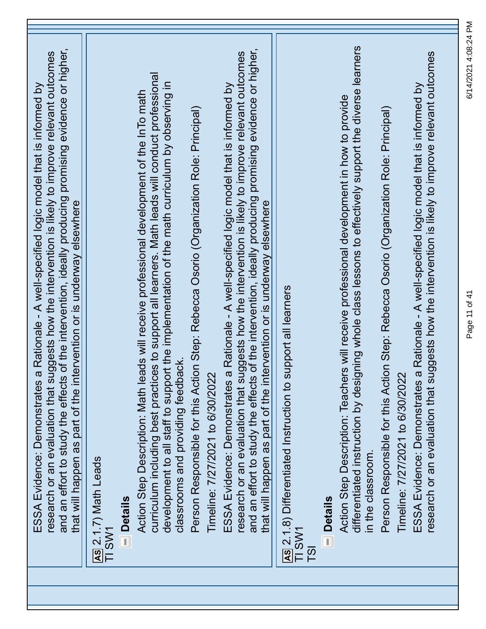| of the intervention, ideally producing promising evidence or higher,<br>research or an evaluation that suggests how the intervention is likely to improve relevant outcomes<br>a Rationale - A well-specified logic model that is informed by<br>that will happen as part of the intervention or is underway elsewhere<br>and an effort to study the effects<br>ESSA Evidence: Demonstrates | <u>As</u> 2.1.7) Math Leads<br>TI SW1 | <b>Details</b> | curriculum including best practices to support all learners. Math leads will conduct professional<br>development to all staff to support the implementation of the math curriculum by observing in<br>ads will receive professional development of the InTo math<br>classrooms and providing feedback.<br>Action Step Description: Math le | Person Responsible for this Action Step: Rebecca Osorio (Organization Role: Principal) | Timeline: 7/27/2021 to 6/30/2022 | of the intervention, ideally producing promising evidence or higher,<br>research or an evaluation that suggests how the intervention is likely to improve relevant outcomes<br>a Rationale - A well-specified logic model that is informed by<br>that will happen as part of the intervention or is underway elsewhere<br>and an effort to study the effects<br>ESSA Evidence: Demonstrates | <b>AS</b> 2.1.8) Differentiated Instruction to support all learners<br>TI SW1<br>$\overline{5}$ | <b>Details</b> | differentiated instruction by designing whole class lessons to effectively support the diverse learners<br>Action Step Description: Teachers will receive professional development in how to provide<br>in the classroom. | Person Responsible for this Action Step: Rebecca Osorio (Organization Role: Principal)<br>Timeline: 7/27/2021 to 6/30/2022 | research or an evaluation that suggests how the intervention is likely to improve relevant outcomes<br>a Rationale - A well-specified logic model that is informed by<br>ESSA Evidence: Demonstrates |
|---------------------------------------------------------------------------------------------------------------------------------------------------------------------------------------------------------------------------------------------------------------------------------------------------------------------------------------------------------------------------------------------|---------------------------------------|----------------|--------------------------------------------------------------------------------------------------------------------------------------------------------------------------------------------------------------------------------------------------------------------------------------------------------------------------------------------|----------------------------------------------------------------------------------------|----------------------------------|---------------------------------------------------------------------------------------------------------------------------------------------------------------------------------------------------------------------------------------------------------------------------------------------------------------------------------------------------------------------------------------------|-------------------------------------------------------------------------------------------------|----------------|---------------------------------------------------------------------------------------------------------------------------------------------------------------------------------------------------------------------------|----------------------------------------------------------------------------------------------------------------------------|------------------------------------------------------------------------------------------------------------------------------------------------------------------------------------------------------|

Page 11 of 41 6/14/2021 4:08:24 PMPage 11 of 41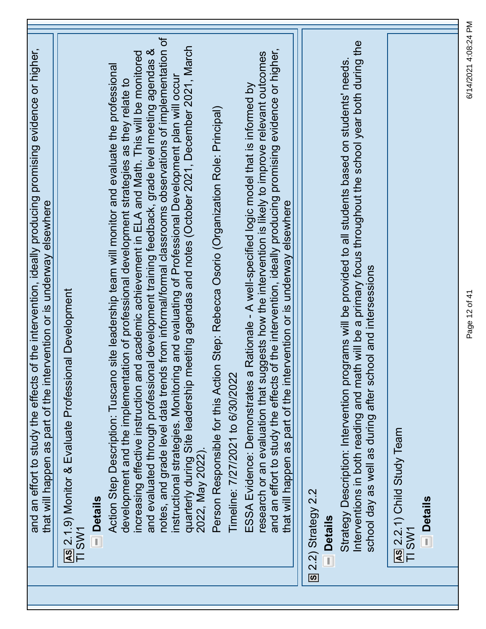| and an effort to study the effects of the intervention, ideally producing promising evidence or higher,<br>that will happen as part of the intervention or is underway elsewhere                                                                                                                                |  |
|-----------------------------------------------------------------------------------------------------------------------------------------------------------------------------------------------------------------------------------------------------------------------------------------------------------------|--|
| AS 2.1.9) Monitor & Evaluate Professional Development<br>TI SW1                                                                                                                                                                                                                                                 |  |
| <b>Details</b>                                                                                                                                                                                                                                                                                                  |  |
| increasing effective instruction and academic achievement in ELA and Math. This will be monitored<br>Action Step Description: Tuscano site leadership team will monitor and evaluate the professional<br>development and the implementation of professional development strategies as they relate to            |  |
| notes, and grade level data trends from informal/formal classrooms observations of implementation of<br>and evaluated through professional development training feedback, grade level meeting agendas &<br>instructional strategies. Monitoring and evaluating of Professional Development plan will occul      |  |
| meeting agendas and notes (October 2021, December 2021, March<br>quarterly during Site leadership<br>2022, May 2022).                                                                                                                                                                                           |  |
| Person Responsible for this Action Step: Rebecca Osorio (Organization Role: Principal)                                                                                                                                                                                                                          |  |
| Timeline: 7/27/2021 to 6/30/2022                                                                                                                                                                                                                                                                                |  |
| and an effort to study the effects of the intervention, ideally producing promising evidence or higher,<br>research or an evaluation that suggests how the intervention is likely to improve relevant outcomes<br>a Rationale - A well-specified logic model that is informed by<br>ESSA Evidence: Demonstrates |  |
| that will happen as part of the intervention or is underway elsewhere                                                                                                                                                                                                                                           |  |
| 8 2.2) Strategy 2.2                                                                                                                                                                                                                                                                                             |  |
| <b>Details</b>                                                                                                                                                                                                                                                                                                  |  |
| Interventions in both reading and math will be a primary focus throughout the school year both during the<br>Strategy Description: Intervention programs will be provided to all students based on students' needs                                                                                              |  |
| school day as well as during after school and intersessions                                                                                                                                                                                                                                                     |  |
| AS 2.2.1) Child Study Team<br>TI SW1                                                                                                                                                                                                                                                                            |  |
| <b>Details</b>                                                                                                                                                                                                                                                                                                  |  |
|                                                                                                                                                                                                                                                                                                                 |  |

Page 12 of 41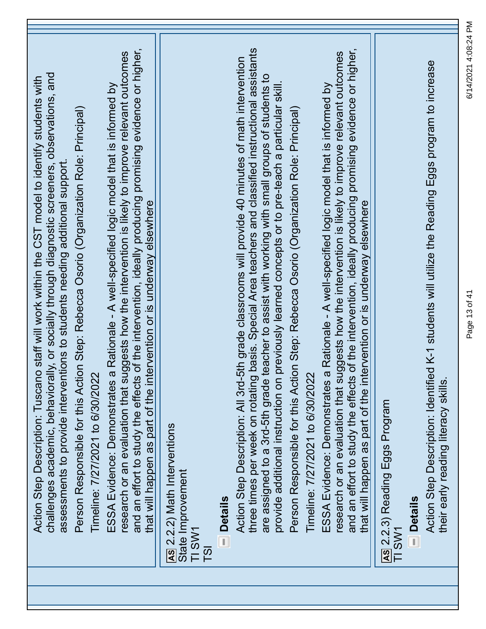| challenges academic, behaviorally, or socially through diagnostic screeners, observations, and<br>Action Step Description: Tuscano staff will work within the CST model to identify students with<br>Person Responsible for this Action Step: Rebecca Osorio (Organization Role: Principal)<br>assessments to provide interventions to students needing additional support                                                |
|---------------------------------------------------------------------------------------------------------------------------------------------------------------------------------------------------------------------------------------------------------------------------------------------------------------------------------------------------------------------------------------------------------------------------|
| and an effort to study the effects of the intervention, ideally producing promising evidence or higher,<br>research or an evaluation that suggests how the intervention is likely to improve relevant outcomes<br>ESSA Evidence: Demonstrates a Rationale - A well-specified logic model that is informed by<br>that will happen as part of the intervention or is underway elsewhere<br>Timeline: 7/27/2021 to 6/30/2022 |
| AS 2.2.2) Math Interventions<br>State Improvement<br>TI SW1<br>T <sub>S</sub> I                                                                                                                                                                                                                                                                                                                                           |
| <b>Details</b>                                                                                                                                                                                                                                                                                                                                                                                                            |
| three times per week on rotating basis. Special Area teachers and classified instructional assistants<br>5th grade classrooms will provide 40 minutes of math intervention<br>are assigned to a 3rd-5th grade teacher to assist with working with small groups of students to<br>provide additional instruction on previously learned concepts or to pre-teach a particular skill.<br>Action Step Description: All 3rd-   |
| Person Responsible for this Action Step: Rebecca Osorio (Organization Role: Principal)<br>Timeline: 7/27/2021 to 6/30/2022                                                                                                                                                                                                                                                                                                |
| and an effort to study the effects of the intervention, ideally producing promising evidence or higher,<br>research or an evaluation that suggests how the intervention is likely to improve relevant outcomes<br>ESSA Evidence: Demonstrates a Rationale - A well-specified logic model that is informed by<br>that will happen as part of the intervention or is underway elsewhere                                     |
| As 2.2.3) Reading Eggs Program<br>TI SW1                                                                                                                                                                                                                                                                                                                                                                                  |
| Action Step Description: Identified K-1 students will utilize the Reading Eggs program to increase<br>their early reading literacy skills<br><b>Details</b>                                                                                                                                                                                                                                                               |

Page 13 of 41 6/14/2021 4:08:24 PM

Page 13 of 41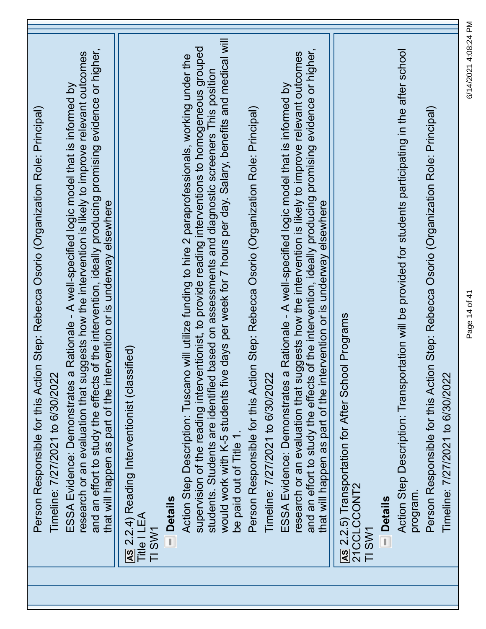| Person Responsible for this Action Step: Rebecca Osorio (Organization Role: Principal)<br>Timeline: 7/27/2021 to 6/30/2022                                                                                                                                                                                                                                                                                                                            |
|-------------------------------------------------------------------------------------------------------------------------------------------------------------------------------------------------------------------------------------------------------------------------------------------------------------------------------------------------------------------------------------------------------------------------------------------------------|
| and an effort to study the effects of the intervention, ideally producing promising evidence or higher,<br>research or an evaluation that suggests how the intervention is likely to improve relevant outcomes<br>a Rationale - A well-specified logic model that is informed by<br>that will happen as part of the intervention or is underway elsewhere<br>ESSA Evidence: Demonstrates                                                              |
| AS 2.2.4) Reading Interventionist (classified)<br><b>Details</b><br>Title I LEA<br>TI SW1                                                                                                                                                                                                                                                                                                                                                             |
| would work with K-5 students five days per week for 7 hours per day. Salary, benefits and medical will<br>supervision of the reading interventionist, to provide reading interventions to homogeneous grouped<br>o will utilize funding to hire 2 paraprofessionals, working under the<br>students. Students are identified based on assessments and diagnostic screeners This position<br>Action Step Description: Tuscan<br>be paid out of Title 1. |
| Person Responsible for this Action Step: Rebecca Osorio (Organization Role: Principal)<br>Timeline: 7/27/2021 to 6/30/2022                                                                                                                                                                                                                                                                                                                            |
| and an effort to study the effects of the intervention, ideally producing promising evidence or higher,<br>research or an evaluation that suggests how the intervention is likely to improve relevant outcomes<br>a Rationale - A well-specified logic model that is informed by<br>that will happen as part of the intervention or is underway elsewhere<br>ESSA Evidence: Demonstrates                                                              |
| AS 2.2.5) Transportation for After School Programs<br>21CCLCCONT2<br><b>Details</b><br>TI SW1                                                                                                                                                                                                                                                                                                                                                         |
| Action Step Description: Transportation will be provided for students participating in the after school<br>Person Responsible for this Action Step: Rebecca Osorio (Organization Role: Principal)<br>Timeline: 7/27/2021 to 6/30/2022<br>program.                                                                                                                                                                                                     |

Page 14 of 41 6/14/2021 4:08:24 PM

Page 14 of 41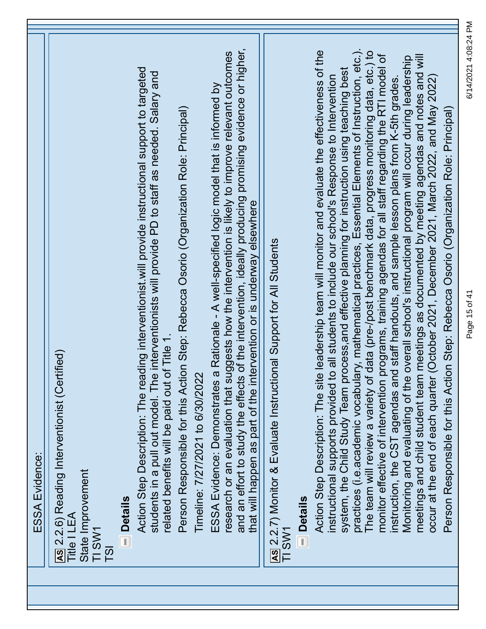|                  | ESSA Evidence:                                                                                                                                                                                                                                                                                                                                                                                                                                                                                                                                                                                                                                                                                                                                                                                                                                                                                                                                                                                                                                                                                                                       |
|------------------|--------------------------------------------------------------------------------------------------------------------------------------------------------------------------------------------------------------------------------------------------------------------------------------------------------------------------------------------------------------------------------------------------------------------------------------------------------------------------------------------------------------------------------------------------------------------------------------------------------------------------------------------------------------------------------------------------------------------------------------------------------------------------------------------------------------------------------------------------------------------------------------------------------------------------------------------------------------------------------------------------------------------------------------------------------------------------------------------------------------------------------------|
| T <sub>S</sub> I | AS 2.2.6) Reading Interventionist (Certified)<br>State Improvement<br>Title I LEA<br>TI SW1                                                                                                                                                                                                                                                                                                                                                                                                                                                                                                                                                                                                                                                                                                                                                                                                                                                                                                                                                                                                                                          |
|                  | Action Step Description: The reading interventionist will provide instructional support to targeted<br>students in a pull out model. The interventionists will provide PD to staff as needed. Salary and<br><b>Details</b>                                                                                                                                                                                                                                                                                                                                                                                                                                                                                                                                                                                                                                                                                                                                                                                                                                                                                                           |
|                  | Person Responsible for this Action Step: Rebecca Osorio (Organization Role: Principal)<br>of Title 1.<br>Timeline: 7/27/2021 to 6/30/2022<br>related benefits will be paid out                                                                                                                                                                                                                                                                                                                                                                                                                                                                                                                                                                                                                                                                                                                                                                                                                                                                                                                                                       |
|                  | and an effort to study the effects of the intervention, ideally producing promising evidence or higher,<br>research or an evaluation that suggests how the intervention is likely to improve relevant outcomes<br>a Rationale - A well-specified logic model that is informed by<br>that will happen as part of the intervention or is underway elsewhere<br>ESSA Evidence: Demonstrates                                                                                                                                                                                                                                                                                                                                                                                                                                                                                                                                                                                                                                                                                                                                             |
|                  | AS 2.2.7) Monitor & Evaluate Instructional Support for All Students<br>- Details<br>TI SW1                                                                                                                                                                                                                                                                                                                                                                                                                                                                                                                                                                                                                                                                                                                                                                                                                                                                                                                                                                                                                                           |
|                  | practices (i.e.academic vocabulary, mathematical practices, Essential Elements of Instruction, etc.).<br>Action Step Description: The site leadership team will monitor and evaluate the effectiveness of the<br>The team will review a variety of data (pre-/post benchmark data, progress monitoring data, etc.) to<br>programs, training agendas for all staff regarding the RTI model of<br>meetings and child student team meetings as documented by meeting agendas and notes and will<br>Monitoring and evaluating of the overall school's instructional program will occur during leadership<br>system, the Child Study Team process, and effective planning for instruction using teaching best<br>instructional supports provided to all students to include our school's Response to Intervention<br>occur at the end of each quarter (October 2021, December 2021, March 2022, and May 2022<br>instruction, the CST agendas and staff handouts, and sample lesson plans from K-5th grades<br>Person Responsible for this Action Step: Rebecca Osorio (Organization Role: Principal)<br>monitor effective of intervention |

Page 15 of 41 6/14/2021 4:08:24 PM

Page 15 of 41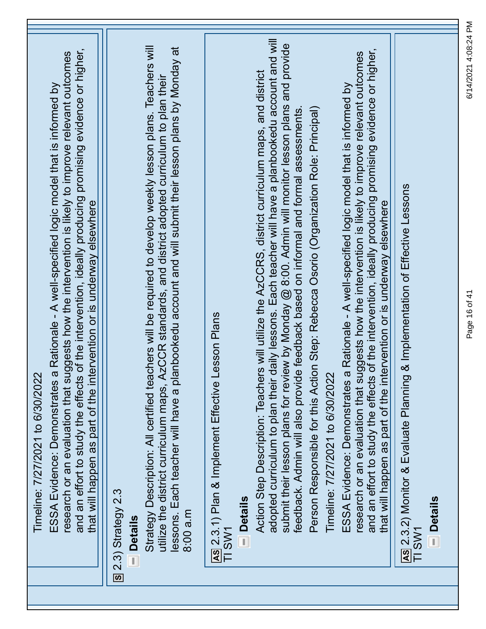| research or an evaluation that suggests how the intervention is likely to improve relevant outcomes<br>a Rationale - A well-specified logic model that is informed by<br>Timeline: 7/27/2021 to 6/30/2022<br>and an effort to study the effects<br>ESSA Evidence: Demonstrates |
|--------------------------------------------------------------------------------------------------------------------------------------------------------------------------------------------------------------------------------------------------------------------------------|
| of the intervention, ideally producing promising evidence or higher,<br>that will happen as part of the intervention or is underway elsewhere<br>$S(2.3)$ Strategy 2.3                                                                                                         |
| <b>Details</b>                                                                                                                                                                                                                                                                 |
| Strategy Description: All certified teachers will be required to develop weekly lesson plans. Teachers will<br>utilize the district curriculum maps, AzCCR standards, and district adopted curriculum to plan their                                                            |
| lessons. Each teacher will have a planbookedu account and will submit their lesson plans by Monday at<br>8:00 a.m                                                                                                                                                              |
| esson Plans<br>AS 2.3.1) Plan & Implement Effective<br>TI SW1                                                                                                                                                                                                                  |
| <b>Details</b>                                                                                                                                                                                                                                                                 |
| adopted curriculum to plan their daily lessons. Each teacher will have a planbookedu account and will<br>Action Step Description: Teachers will utilize the AzCCRS, district curriculum maps, and district                                                                     |
| submit their lesson plans for review by Monday @ 8:00. Admin will monitor lesson plans and provide<br>feedback. Admin will also provide feedback based on informal and formal assessments.                                                                                     |
| Person Responsible for this Action Step: Rebecca Osorio (Organization Role: Principal)<br>Timeline: 7/27/2021 to 6/30/2022                                                                                                                                                     |
| a Rationale - A well-specified logic model that is informed by<br>ESSA Evidence: Demonstrates                                                                                                                                                                                  |
| and an effort to study the effects of the intervention, ideally producing promising evidence or higher,<br>research or an evaluation that suggests how the intervention is likely to improve relevant outcomes                                                                 |
| that will happen as part of the intervention or is underway elsewhere                                                                                                                                                                                                          |
| <b>1&amp; Implementation of Effective Lessons</b><br>As 2.3.2) Monitor & Evaluate Planning<br>TI SW1                                                                                                                                                                           |
| $\blacksquare$ Details                                                                                                                                                                                                                                                         |
|                                                                                                                                                                                                                                                                                |

Page 16 of 41 6/14/2021 4:08:24 PM

Page 16 of 41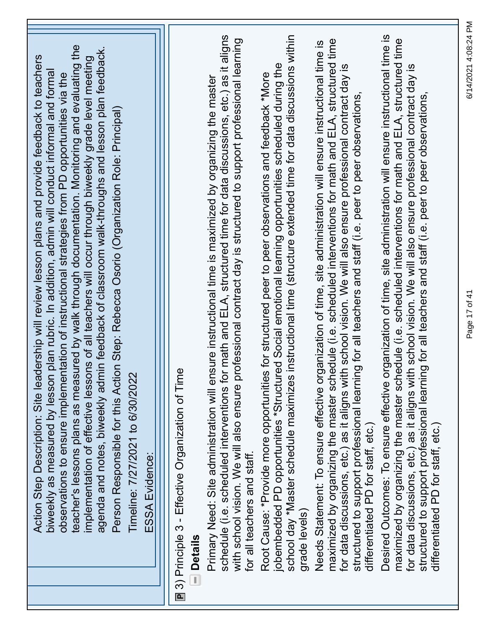| teacher's lessons plans as measured by walk through documentation. Monitoring and evaluating the<br>agenda and notes, biweekly admin feedback of classroom walk-throughs and lesson plan feedback.<br>implementation of effective lessons of all teachers will occur through biweekly grade level meeting<br>Action Step Description: Site leadership will review lesson plans and provide feedback to teachers<br>plan rubric. In addition, admin will conduct informal and formal<br>observations to ensure implementation of instructional strategies from PD opportunities via the<br>Person Responsible for this Action Step: Rebecca Osorio (Organization Role: Principal)<br>Timeline: 7/27/2021 to 6/30/2022<br>biweekly as measured by lesson<br><b>ESSA Evidence:</b> |
|---------------------------------------------------------------------------------------------------------------------------------------------------------------------------------------------------------------------------------------------------------------------------------------------------------------------------------------------------------------------------------------------------------------------------------------------------------------------------------------------------------------------------------------------------------------------------------------------------------------------------------------------------------------------------------------------------------------------------------------------------------------------------------|
| r math and ELA, structured time for data discussions, etc.) as it aligns<br>Primary Need: Site administration will ensure instructional time is maximized by organizing the master<br>$\overline{\mathsf{D}}$<br>■ 3) Principle 3 - Effective Organization of Tim<br>schedule (i.e. scheduled interventions fo<br>$\blacksquare$ Details                                                                                                                                                                                                                                                                                                                                                                                                                                        |
| instructional time (structure extended time for data discussions within<br>rofessional contract day is structured to support professional learning<br>jobembedded PD opportunities *Structured Social emotional learning opportunities scheduled during the<br>Root Cause: *Provide more opportunities for structured peer to peer observations and feedback *More<br>school day *Master schedule maximizes<br>with school vision. We will also ensure p<br>for all teachers and staff.<br>grade levels)                                                                                                                                                                                                                                                                        |
| maximized by organizing the master schedule (i.e. scheduled interventions for math and ELA, structured time<br>ganization of time, site administration will ensure instructional time is<br>th school vision. We will also ensure professional contract day is<br>structured to support professional learning for all teachers and staff (i.e. peer to peer observations,<br>Needs Statement: To ensure effective or<br>for data discussions, etc.) as it aligns wit<br>differentiated PD for staff, etc.)                                                                                                                                                                                                                                                                      |
| Desired Outcomes: To ensure effective organization of time, site administration will ensure instructional time is<br>maximized by organizing the master schedule (i.e. scheduled interventions for math and ELA, structured time<br>for data discussions, etc.) as it aligns with school vision. We will also ensure professional contract day is<br>structured to support professional learning for all teachers and staff (i.e. peer to peer observations,<br>differentiated PD for staff, etc.                                                                                                                                                                                                                                                                               |

∃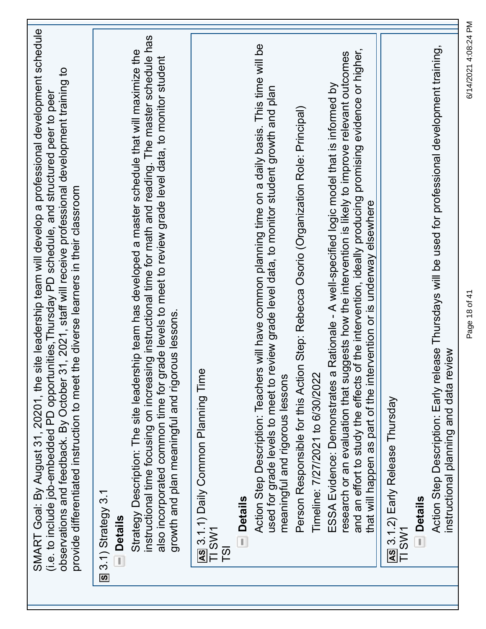| site leadership team will develop a professional development schedule<br>31, 2021, staff will receive professional development training to<br>(i.e. to include job-embedded PD opportunities, Thursday PD schedule, and structured peer to peer<br>provide differentiated instruction to meet the diverse learners in their classroom<br>SMART Goal: By August 31, 20201, the<br>observations and feedback. By October |
|------------------------------------------------------------------------------------------------------------------------------------------------------------------------------------------------------------------------------------------------------------------------------------------------------------------------------------------------------------------------------------------------------------------------|
| $S$ 3.1) Strategy 3.1<br><b>Details</b><br>$\overline{\mathbb{I}}$                                                                                                                                                                                                                                                                                                                                                     |
| instructional time focusing on increasing instructional time for math and reading. The master schedule has<br>Strategy Description: The site leadership team has developed a master schedule that will maximize the<br>also incorporated common time for grade levels to meet to review grade level data, to monitor student<br>growth and plan meaningful and rigorous lessons.                                       |
| As 3.1.1) Daily Common Planning Time<br>TI SW1<br>$\overline{18}$                                                                                                                                                                                                                                                                                                                                                      |
| - Details                                                                                                                                                                                                                                                                                                                                                                                                              |
| Action Step Description: Teachers will have common planning time on a daily basis. This time will be<br>review grade level data, to monitor student growth and plan<br>meaningful and rigorous lessons<br>used for grade levels to meet to                                                                                                                                                                             |
| Person Responsible for this Action Step: Rebecca Osorio (Organization Role: Principal)<br>Timeline: 7/27/2021 to 6/30/2022                                                                                                                                                                                                                                                                                             |
| and an effort to study the effects of the intervention, ideally producing promising evidence or higher,<br>research or an evaluation that suggests how the intervention is likely to improve relevant outcomes<br>ESSA Evidence: Demonstrates a Rationale - A well-specified logic model that is informed by<br>that will happen as part of the intervention or is underway elsewhere                                  |
| As 3.1.2) Early Release Thursday<br>TI SW1                                                                                                                                                                                                                                                                                                                                                                             |
| <b>Details</b>                                                                                                                                                                                                                                                                                                                                                                                                         |
| Action Step Description: Early release Thursdays will be used for professional development training,<br>instructional planning and data review                                                                                                                                                                                                                                                                         |

Page 18 of 41 6/14/2021 4:08:24 PM

Page 18 of 41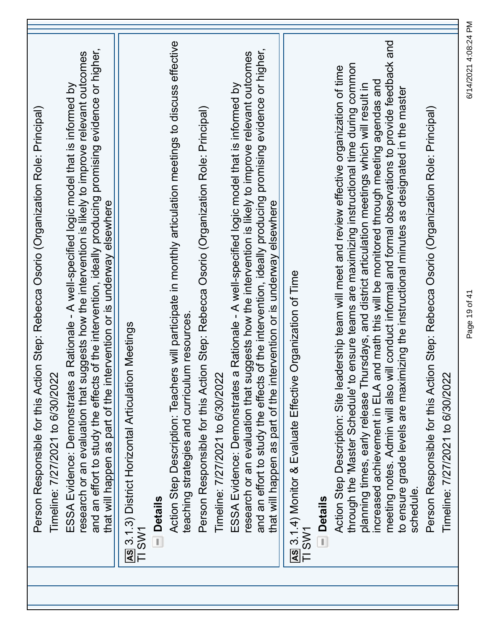| and an effort to study the effects of the intervention, ideally producing promising evidence or higher,<br>research or an evaluation that suggests how the intervention is likely to improve relevant outcomes<br>a Rationale - A well-specified logic model that is informed by<br>Person Responsible for this Action Step: Rebecca Osorio (Organization Role: Principal)<br>that will happen as part of the intervention or is underway elsewhere<br>Timeline: 7/27/2021 to 6/30/2022<br>ESSA Evidence: Demonstrates | AS 3.1.3) District Horizontal Articulation Meetings<br><b>Details</b><br>TI SW1 | Action Step Description: Teachers will participate in monthly articulation meetings to discuss effective<br>teaching strategies and curriculum resources | Person Responsible for this Action Step: Rebecca Osorio (Organization Role: Principal)<br>Timeline: 7/27/2021 to 6/30/2022 | and an effort to study the effects of the intervention, ideally producing promising evidence or higher,<br>research or an evaluation that suggests how the intervention is likely to improve relevant outcomes<br>a Rationale - A well-specified logic model that is informed by<br>that will happen as part of the intervention or is underway elsewhere<br>ESSA Evidence: Demonstrates | AS 3.1.4) Monitor & Evaluate Effective Organization of Time<br>TI SW1 | <b>Details</b> | through the 'Master Schedule' to ensure teams are maximizing instructional time during common<br>Action Step Description: Site leadership team will meet and review effective organization of time<br>increased achievement in ELA and math this will be monitored through meeting agendas and<br>ursdays, and district articulation meetings which will result in<br>planning times, early release Th | meeting notes. Admin will also will conduct informal and formal observations to provide feedback and<br>to ensure grade levels are maximizing the instructional minutes as designated in the master<br>schedule | Person Responsible for this Action Step: Rebecca Osorio (Organization Role: Principal)<br>Timeline: 7/27/2021 to 6/30/2022 |
|------------------------------------------------------------------------------------------------------------------------------------------------------------------------------------------------------------------------------------------------------------------------------------------------------------------------------------------------------------------------------------------------------------------------------------------------------------------------------------------------------------------------|---------------------------------------------------------------------------------|----------------------------------------------------------------------------------------------------------------------------------------------------------|----------------------------------------------------------------------------------------------------------------------------|------------------------------------------------------------------------------------------------------------------------------------------------------------------------------------------------------------------------------------------------------------------------------------------------------------------------------------------------------------------------------------------|-----------------------------------------------------------------------|----------------|--------------------------------------------------------------------------------------------------------------------------------------------------------------------------------------------------------------------------------------------------------------------------------------------------------------------------------------------------------------------------------------------------------|-----------------------------------------------------------------------------------------------------------------------------------------------------------------------------------------------------------------|----------------------------------------------------------------------------------------------------------------------------|
|                                                                                                                                                                                                                                                                                                                                                                                                                                                                                                                        |                                                                                 |                                                                                                                                                          |                                                                                                                            |                                                                                                                                                                                                                                                                                                                                                                                          |                                                                       |                |                                                                                                                                                                                                                                                                                                                                                                                                        |                                                                                                                                                                                                                 |                                                                                                                            |

Page 19 of 41 6/14/2021 4:08:24 PM

Page 19 of 41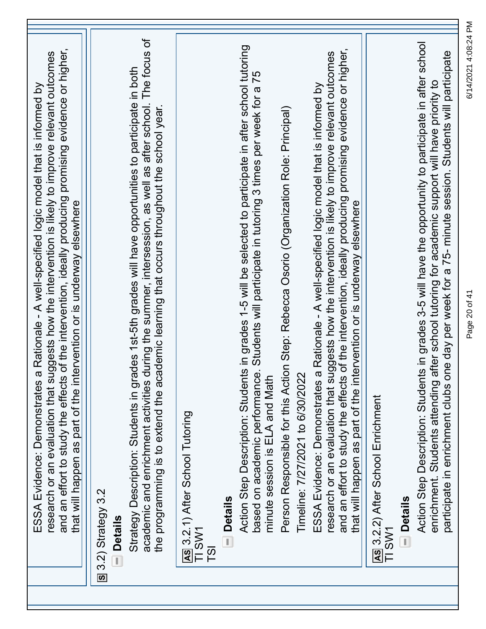| during the summer, intersession, as well as after school. The focus of<br>Action Step Description: Students in grades 3-5 will have the opportunity to participate in after school<br>Action Step Description: Students in grades 1-5 will be selected to participate in after school tutoring<br>and an effort to study the effects of the intervention, ideally producing promising evidence or higher,<br>and an effort to study the effects of the intervention, ideally producing promising evidence or higher,<br>participate in enrichment clubs one day per week for a 75- minute session. Students will participate<br>research or an evaluation that suggests how the intervention is likely to improve relevant outcomes<br>research or an evaluation that suggests how the intervention is likely to improve relevant outcomes<br>Strategy Description: Students in grades 1st-5th grades will have opportunities to participate in both<br>based on academic performance. Students will participate in tutoring 3 times per week for a 75<br>after school tutoring for academic support will have priority to<br>a Rationale - A well-specified logic model that is informed by<br>a Rationale - A well-specified logic model that is informed by<br>cademic learning that occurs throughout the school year.<br>Person Responsible for this Action Step: Rebecca Osorio (Organization Role: Principal)<br>that will happen as part of the intervention or is underway elsewhere<br>that will happen as part of the intervention or is underway elsewhere<br>Timeline: 7/27/2021 to 6/30/2022<br>the programming is to extend the ac<br>minute session is ELA and Math<br>academic and enrichment activities<br>ESSA Evidence: Demonstrates<br>enrichment. Students attending<br>ESSA Evidence: Demonstrates<br>AS 3.2.2) After School Enrichment<br>AS 3.2.1) After School Tutoring |
|---------------------------------------------------------------------------------------------------------------------------------------------------------------------------------------------------------------------------------------------------------------------------------------------------------------------------------------------------------------------------------------------------------------------------------------------------------------------------------------------------------------------------------------------------------------------------------------------------------------------------------------------------------------------------------------------------------------------------------------------------------------------------------------------------------------------------------------------------------------------------------------------------------------------------------------------------------------------------------------------------------------------------------------------------------------------------------------------------------------------------------------------------------------------------------------------------------------------------------------------------------------------------------------------------------------------------------------------------------------------------------------------------------------------------------------------------------------------------------------------------------------------------------------------------------------------------------------------------------------------------------------------------------------------------------------------------------------------------------------------------------------------------------------------------------------------------------------------------------------------------------------------------|
| S 3.2) Strategy 3.2<br>- Details<br>- Details<br>- Details<br>TI SW1<br>TI SW1<br>T <sub>S</sub> I                                                                                                                                                                                                                                                                                                                                                                                                                                                                                                                                                                                                                                                                                                                                                                                                                                                                                                                                                                                                                                                                                                                                                                                                                                                                                                                                                                                                                                                                                                                                                                                                                                                                                                                                                                                                |

Page 20 of 41 6/14/2021 4:08:24 PM

Page 20 of 41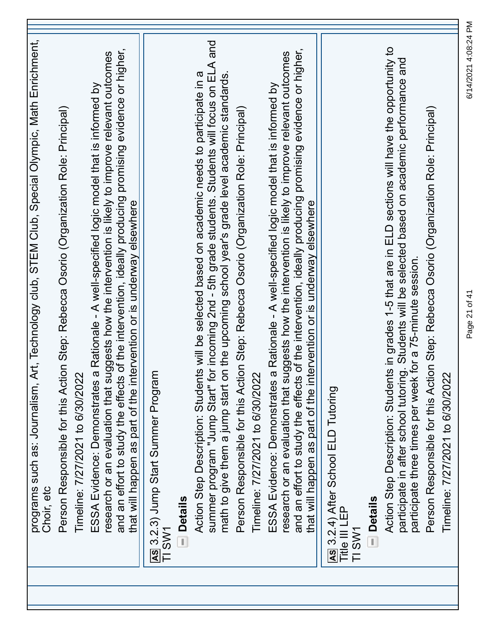| programs such as: Journalism, Art, Technology club, STEM Club, Special Olympic, Math Enrichment,<br>Choir, etc                                                                                                                                                                                                                                                                           |
|------------------------------------------------------------------------------------------------------------------------------------------------------------------------------------------------------------------------------------------------------------------------------------------------------------------------------------------------------------------------------------------|
| Person Responsible for this Action Step: Rebecca Osorio (Organization Role: Principal)<br>Timeline: 7/27/2021 to 6/30/2022                                                                                                                                                                                                                                                               |
| and an effort to study the effects of the intervention, ideally producing promising evidence or higher,<br>research or an evaluation that suggests how the intervention is likely to improve relevant outcomes<br>a Rationale - A well-specified logic model that is informed by<br>that will happen as part of the intervention or is underway elsewhere<br>ESSA Evidence: Demonstrates |
| AS 3.2.3) Jump Start Summer Progran<br>TI SW1                                                                                                                                                                                                                                                                                                                                            |
| summer program "Jump Start" for incoming 2nd - 5th grade students. Students will focus on ELA and<br>Action Step Description: Students will be selected based on academic needs to participate in a<br>math to give them a jump start on the upcoming school year's grade level academic standards<br><b>Details</b>                                                                     |
| Person Responsible for this Action Step: Rebecca Osorio (Organization Role: Principal)<br>Timeline: 7/27/2021 to 6/30/2022                                                                                                                                                                                                                                                               |
| and an effort to study the effects of the intervention, ideally producing promising evidence or higher,<br>research or an evaluation that suggests how the intervention is likely to improve relevant outcomes<br>ESSA Evidence: Demonstrates a Rationale - A well-specified logic model that is informed by<br>that will happen as part of the intervention or is underway elsewhere    |
| As 3.2.4) After School ELD Tutoring<br>Title III LEP<br>TI SW1                                                                                                                                                                                                                                                                                                                           |
| - Details                                                                                                                                                                                                                                                                                                                                                                                |
| Action Step Description: Students in grades 1-5 that are in ELD sections will have the opportunity to<br>participate in after school tutoring. Students will be selected based on academic performance and<br>participate three times per week for a 75-minute session.                                                                                                                  |
| Person Responsible for this Action Step: Rebecca Osorio (Organization Role: Principal)<br>Timeline: 7/27/2021 to 6/30/2022                                                                                                                                                                                                                                                               |

Page 21 of 41 6/14/2021 4:08:24 PM

Page 21 of 41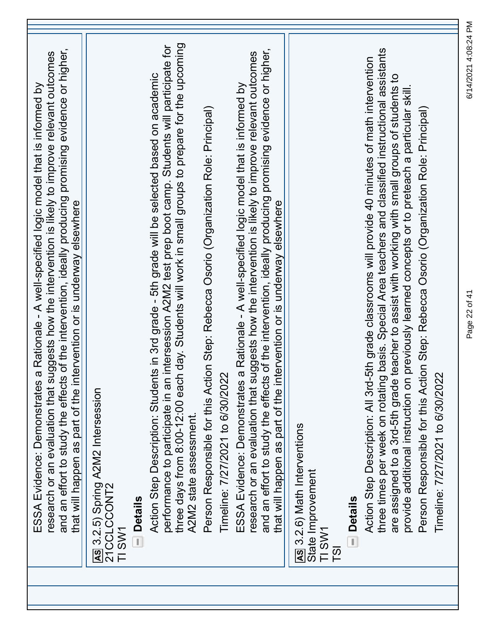| and an effort to study the effects of the intervention, ideally producing promising evidence or higher,<br>research or an evaluation that suggests how the intervention is likely to improve relevant outcomes<br>a Rationale - A well-specified logic model that is informed by<br>that will happen as part of the intervention or is underway elsewhere<br>ESSA Evidence: Demonstrates | AS 3.2.5) Spring A2M2 Intersession<br>21CCLCCONT2<br>TI SW1 | <b>Details</b> | three days from 8:00-12:00 each day. Students will work in small groups to prepare for the upcoming<br>performance to participate in an intersession A2M2 test prep boot camp. Students will participate for<br>Action Step Description: Students in 3rd grade - 5th grade will be selected based on academic<br>A2M2 state assessment. | Person Responsible for this Action Step: Rebecca Osorio (Organization Role: Principal)<br>Timeline: 7/27/2021 to 6/30/2022 | of the intervention, ideally producing promising evidence or higher,<br>research or an evaluation that suggests how the intervention is likely to improve relevant outcomes<br>a Rationale - A well-specified logic model that is informed by<br>that will happen as part of the intervention or is underway elsewhere<br>and an effort to study the effects<br>ESSA Evidence: Demonstrates | As 3.2.6) Math Interventions<br>State Improvement<br>TI SW1<br>$\overline{5}$ | <b>Details</b> | three times per week on rotating basis. Special Area teachers and classified instructional assistants<br>Action Step Description: All 3rd-5th grade classrooms will provide 40 minutes of math intervention<br>teacher to assist with working with small groups of students to<br>previously learned concepts or to preteach a particular skill<br>Person Responsible for this Action Step: Rebecca Osorio (Organization Role: Principal)<br>Timeline: 7/27/2021 to 6/30/2022<br>provide additional instruction on<br>are assigned to a 3rd-5th grade |
|------------------------------------------------------------------------------------------------------------------------------------------------------------------------------------------------------------------------------------------------------------------------------------------------------------------------------------------------------------------------------------------|-------------------------------------------------------------|----------------|-----------------------------------------------------------------------------------------------------------------------------------------------------------------------------------------------------------------------------------------------------------------------------------------------------------------------------------------|----------------------------------------------------------------------------------------------------------------------------|---------------------------------------------------------------------------------------------------------------------------------------------------------------------------------------------------------------------------------------------------------------------------------------------------------------------------------------------------------------------------------------------|-------------------------------------------------------------------------------|----------------|-------------------------------------------------------------------------------------------------------------------------------------------------------------------------------------------------------------------------------------------------------------------------------------------------------------------------------------------------------------------------------------------------------------------------------------------------------------------------------------------------------------------------------------------------------|

Page 22 of 41 6/14/2021 4:08:24 PM

Page 22 of 41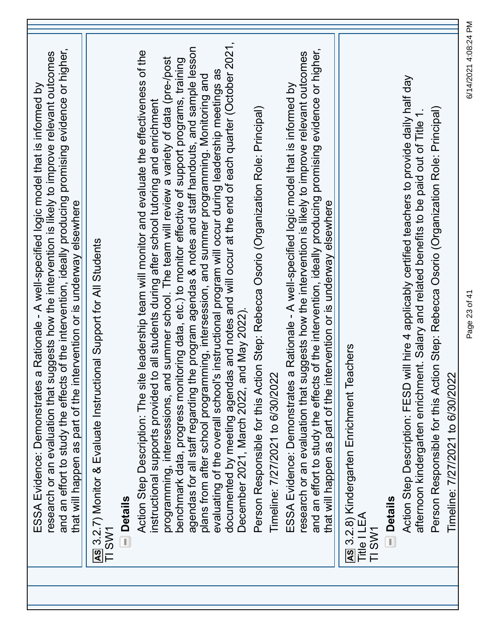| and an effort to study the effects of the intervention, ideally producing promising evidence or higher,<br>research or an evaluation that suggests how the intervention is likely to improve relevant outcomes<br>a Rationale - A well-specified logic model that is informed by<br>that will happen as part of the intervention or is underway elsewhere<br>ESSA Evidence: Demonstrates |  |
|------------------------------------------------------------------------------------------------------------------------------------------------------------------------------------------------------------------------------------------------------------------------------------------------------------------------------------------------------------------------------------------|--|
| AS 3.2.7) Monitor & Evaluate Instructional Support for All Students<br>TI SW1                                                                                                                                                                                                                                                                                                            |  |
| <b>Details</b>                                                                                                                                                                                                                                                                                                                                                                           |  |
| Action Step Description: The site leadership team will monitor and evaluate the effectiveness of the<br>to all students during after school tutoring and enrichment<br>instructional supports provided                                                                                                                                                                                   |  |
| programming, intersessions, and summer school. The team will review a variety of data (pre-/post<br>benchmark data, progress monitoring data, etc.) to monitor effective of support programs, training                                                                                                                                                                                   |  |
| agendas for all staff regarding the program agendas & notes and staff handouts, and sample lesson                                                                                                                                                                                                                                                                                        |  |
| evaluating of the overall school's instructional program will occur during leadership meetings as<br>plans from after school programming, intersession, and summer programming. Monitoring and                                                                                                                                                                                           |  |
| documented by meeting agendas and notes and will occur at the end of each quarter (October 2021,<br>December 2021, March 2022, and May 2022)                                                                                                                                                                                                                                             |  |
| Person Responsible for this Action Step: Rebecca Osorio (Organization Role: Principal)                                                                                                                                                                                                                                                                                                   |  |
| Timeline: 7/27/2021 to 6/30/2022                                                                                                                                                                                                                                                                                                                                                         |  |
| a Rationale - A well-specified logic model that is informed by<br>ESSA Evidence: Demonstrates                                                                                                                                                                                                                                                                                            |  |
| and an effort to study the effects of the intervention, ideally producing promising evidence or higher,<br>research or an evaluation that suggests how the intervention is likely to improve relevant outcomes                                                                                                                                                                           |  |
| that will happen as part of the intervention or is underway elsewhere                                                                                                                                                                                                                                                                                                                    |  |
| achers<br>AS 3.2.8) Kindergarten Enrichment Te<br>Title I LEA                                                                                                                                                                                                                                                                                                                            |  |
| TI SW1                                                                                                                                                                                                                                                                                                                                                                                   |  |
| <b>Details</b>                                                                                                                                                                                                                                                                                                                                                                           |  |
| Action Step Description: FESD will hire 4 applicably certified teachers to provide daily half day<br>afternoon kindergarten enrichment. Salary and related benefits to be paid out of Title 1.                                                                                                                                                                                           |  |
| Person Responsible for this Action Step: Rebecca Osorio (Organization Role: Principal)                                                                                                                                                                                                                                                                                                   |  |
| Timeline: 7/27/2021 to 6/30/2022                                                                                                                                                                                                                                                                                                                                                         |  |

6/14/2021 4:08:24 PM Page 23 of 41 6/14/2021 4:08:24 PM

Page 23 of 41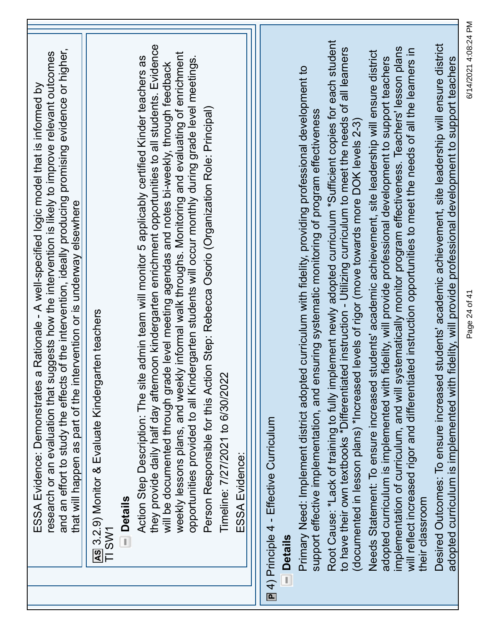| ESSA Evidence: Demonstrates a<br>and an effort to study the effects             | of the intervention, ideally producing promising evidence or higher,<br>research or an evaluation that suggests how the intervention is likely to improve relevant outcomes<br>Rationale - A well-specified logic model that is informed by<br>that will happen as part of the intervention or is underway elsewhere                                                                                                                                                                  |
|---------------------------------------------------------------------------------|---------------------------------------------------------------------------------------------------------------------------------------------------------------------------------------------------------------------------------------------------------------------------------------------------------------------------------------------------------------------------------------------------------------------------------------------------------------------------------------|
| AS 3.2.9) Monitor & Evaluate Kindergarten teachers                              |                                                                                                                                                                                                                                                                                                                                                                                                                                                                                       |
| <b>Details</b><br>T,                                                            |                                                                                                                                                                                                                                                                                                                                                                                                                                                                                       |
| Action Step Description: The site                                               | they provide daily half day afternoon kindergarten enrichment opportunities to all students. Evidence<br>weekly lessons plans, and weekly informal walk throughs. Monitoring and evaluating of enrichment<br>opportunities provided to all Kindergarten students will occur monthly during grade level meetings.<br>admin team will monitor 5 applicably certified Kinder teachers as<br>will be documented through grade level meeting agendas and notes bi-weekly, through feedback |
|                                                                                 | Person Responsible for this Action Step: Rebecca Osorio (Organization Role: Principal)                                                                                                                                                                                                                                                                                                                                                                                                |
| Timeline: 7/27/2021 to 6/30/2022                                                |                                                                                                                                                                                                                                                                                                                                                                                                                                                                                       |
| ESSA Evidence:                                                                  |                                                                                                                                                                                                                                                                                                                                                                                                                                                                                       |
|                                                                                 |                                                                                                                                                                                                                                                                                                                                                                                                                                                                                       |
| $\boxed{P}$ 4) Principle 4 - Effective Curriculum                               |                                                                                                                                                                                                                                                                                                                                                                                                                                                                                       |
| <b>Details</b><br>I,                                                            |                                                                                                                                                                                                                                                                                                                                                                                                                                                                                       |
|                                                                                 | Primary Need: Implement district adopted curriculum with fidelity, providing professional development to<br>support effective implementation, and ensuring systematic monitoring of program effectiveness                                                                                                                                                                                                                                                                             |
| (documented in lesson plans) *Increased                                         | Root Cause: *Lack of training to fully implement newly adopted curriculum *Sufficient copies for each student<br>to have their own textbooks *Differentiated instruction - Utilizing curriculum to meet the needs of all learners<br>I levels of rigor (move towards more DOK levels 2-3)                                                                                                                                                                                             |
| adopted curriculum is implemented with                                          | Needs Statement: To ensure increased students' academic achievement, site leadership will ensure district<br>fidelity, will provide professional development to support teachers                                                                                                                                                                                                                                                                                                      |
| their classroom                                                                 | implementation of curriculum, and will systematically monitor program effectiveness. Teachers' lesson plans<br>will reflect increased rigor and differentiated instruction opportunities to meet the needs of all the learners in                                                                                                                                                                                                                                                     |
| adopted curriculum is implemented with<br>Desired Outcomes: To ensure increased | students' academic achievement, site leadership will ensure district<br>fidelity, will provide professional development to support teachers                                                                                                                                                                                                                                                                                                                                           |

Page 24 of 41 6/14/2021 4:08:24 PM

Page 24 of 41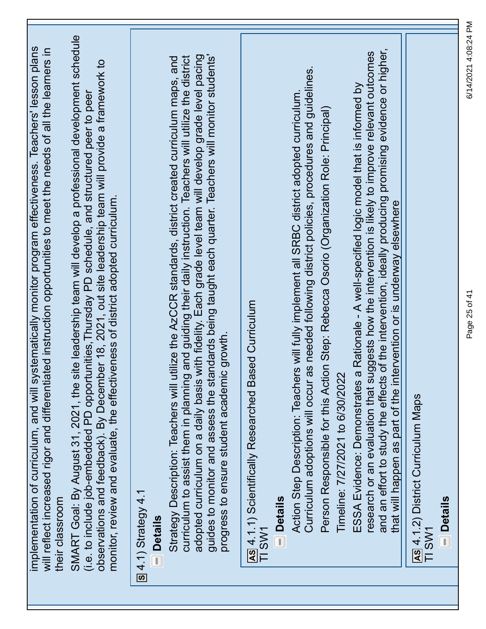| SMART Goal: By August 31, 2021, the site leadership team will develop a professional development schedule<br>implementation of curriculum, and will systematically monitor program effectiveness. Teachers' lesson plans<br>will reflect increased rigor and differentiated instruction opportunities to meet the needs of all the learners in<br>observations and feedback). By December 18, 2021, out site leadership team will provide a framework to<br>(i.e. to include job-embedded PD opportunities, Thursday PD schedule, and structured peer to peer<br>monitor, review and evaluate, the effectiveness of district adopted curriculum.<br>their classroom | guides to monitor and assess the standards being taught each quarter. Teachers will monitor students'<br>adopted curriculum on a daily basis with fidelity. Each grade level team will develop grade level pacing<br>curriculum to assist them in planning and guiding their daily instruction. Teachers will utilize the district<br>utilize the AzCCR standards, district created curriculum maps, and<br>progress to ensure student academic growth<br>Strategy Description: Teachers will<br>$\overline{S}$ 4.1) Strategy 4.1<br><b>Details</b> | as needed following district policies, procedures and guidelines.<br>Action Step Description: Teachers will fully implement all SRBC district adopted curriculum.<br>Person Responsible for this Action Step: Rebecca Osorio (Organization Role: Principal)<br>AS 4.1.1) Scientifically Researched Based Curriculum<br>TI SW1<br>Timeline: 7/27/2021 to 6/30/2022<br>Curriculum adoptions will occur<br><b>Details</b> | and an effort to study the effects of the intervention, ideally producing promising evidence or higher,<br>research or an evaluation that suggests how the intervention is likely to improve relevant outcomes<br>ESSA Evidence: Demonstrates a Rationale - A well-specified logic model that is informed by<br>that will happen as part of the intervention or is underway elsewhere<br>AS 4.1.2) District Curriculum Maps<br><b>Details</b><br>TI SW1 |
|---------------------------------------------------------------------------------------------------------------------------------------------------------------------------------------------------------------------------------------------------------------------------------------------------------------------------------------------------------------------------------------------------------------------------------------------------------------------------------------------------------------------------------------------------------------------------------------------------------------------------------------------------------------------|-----------------------------------------------------------------------------------------------------------------------------------------------------------------------------------------------------------------------------------------------------------------------------------------------------------------------------------------------------------------------------------------------------------------------------------------------------------------------------------------------------------------------------------------------------|------------------------------------------------------------------------------------------------------------------------------------------------------------------------------------------------------------------------------------------------------------------------------------------------------------------------------------------------------------------------------------------------------------------------|---------------------------------------------------------------------------------------------------------------------------------------------------------------------------------------------------------------------------------------------------------------------------------------------------------------------------------------------------------------------------------------------------------------------------------------------------------|

Page 25 of 41 6/14/2021 4:08:24 PM

Page 25 of 41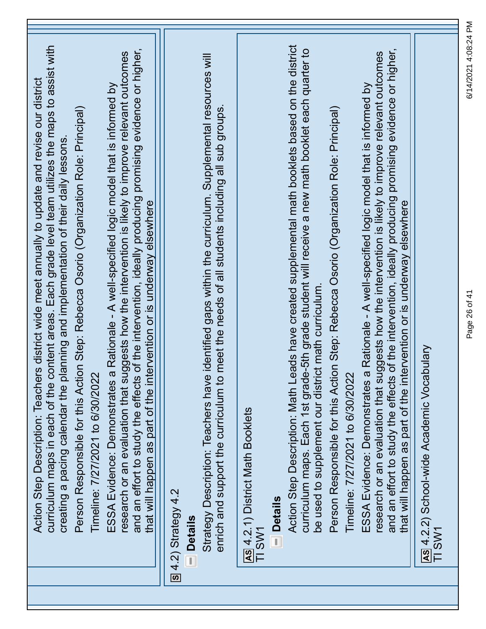| curriculum maps in each of the content areas. Each grade level team utilizes the maps to assist with<br>and an effort to study the effects of the intervention, ideally producing promising evidence or higher,<br>research or an evaluation that suggests how the intervention is likely to improve relevant outcomes<br>Action Step Description: Teachers district wide meet annually to update and revise our district<br>a Rationale - A well-specified logic model that is informed by<br>Person Responsible for this Action Step: Rebecca Osorio (Organization Role: Principal)<br>creating a pacing calendar the planning and implementation of their daily lessons<br>that will happen as part of the intervention or is underway elsewhere<br>Timeline: 7/27/2021 to 6/30/2022<br>ESSA Evidence: Demonstrates | Strategy Description: Teachers have identified gaps within the curriculum. Supplemental resources will<br>meet the needs of all students including all sub groups.<br>enrich and support the curriculum to<br>$\boxed{S}$ 4.2) Strategy 4.2<br><b>Details</b> | Action Step Description: Math Leads have created supplemental math booklets based on the district<br>curriculum maps. Each 1st grade-5th grade student will receive a new math booklet each quarter to<br>Person Responsible for this Action Step: Rebecca Osorio (Organization Role: Principal)<br>be used to supplement our district math curriculum.<br>Timeline: 7/27/2021 to 6/30/2022<br>AS 4.2.1) District Math Booklets<br><b>Details</b><br>TI SW1 | and an effort to study the effects of the intervention, ideally producing promising evidence or higher,<br>research or an evaluation that suggests how the intervention is likely to improve relevant outcomes<br>a Rationale - A well-specified logic model that is informed by<br>that will happen as part of the intervention or is underway elsewhere<br>As 4.2.2) School-wide Academic Vocabulary<br>ESSA Evidence: Demonstrates<br>TI SW1 |
|------------------------------------------------------------------------------------------------------------------------------------------------------------------------------------------------------------------------------------------------------------------------------------------------------------------------------------------------------------------------------------------------------------------------------------------------------------------------------------------------------------------------------------------------------------------------------------------------------------------------------------------------------------------------------------------------------------------------------------------------------------------------------------------------------------------------|---------------------------------------------------------------------------------------------------------------------------------------------------------------------------------------------------------------------------------------------------------------|-------------------------------------------------------------------------------------------------------------------------------------------------------------------------------------------------------------------------------------------------------------------------------------------------------------------------------------------------------------------------------------------------------------------------------------------------------------|-------------------------------------------------------------------------------------------------------------------------------------------------------------------------------------------------------------------------------------------------------------------------------------------------------------------------------------------------------------------------------------------------------------------------------------------------|

Page 26 of 41 6/14/2021 4:08:24 PM

Page 26 of 41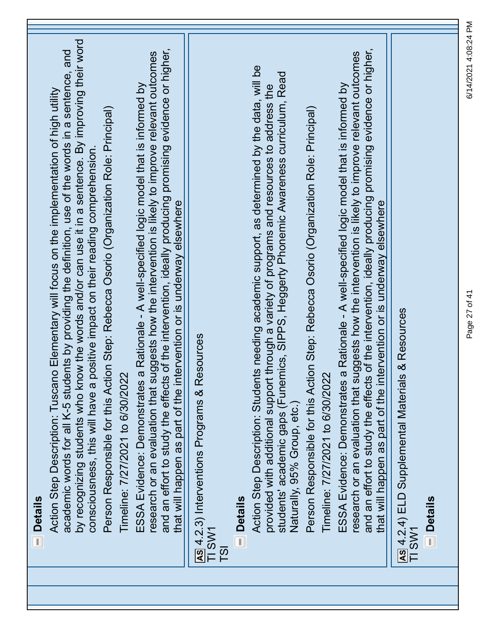| <b>Details</b><br>$\overline{1}$                                                                                                                                                                                                                                                                                                                                                                  |
|---------------------------------------------------------------------------------------------------------------------------------------------------------------------------------------------------------------------------------------------------------------------------------------------------------------------------------------------------------------------------------------------------|
| by recognizing students who know the words and/or can use it in a sentence. By improving their word<br>academic words for all K-5 students by providing the definition, use of the words in a sentence, and<br>Action Step Description: Tuscano Elementary will focus on the implementation of high utility<br>positive impact on their reading comprehension.<br>consciousness, this will have a |
| Person Responsible for this Action Step: Rebecca Osorio (Organization Role: Principal)<br>Timeline: 7/27/2021 to 6/30/2022                                                                                                                                                                                                                                                                        |
| and an effort to study the effects of the intervention, ideally producing promising evidence or higher,<br>research or an evaluation that suggests how the intervention is likely to improve relevant outcomes<br>ESSA Evidence: Demonstrates a Rationale - A well-specified logic model that is informed by<br>that will happen as part of the intervention or is underway elsewhere             |
| esources<br>AS 4.2.3) Interventions Programs & R<br>TI SW1<br>$\overline{5}$                                                                                                                                                                                                                                                                                                                      |
| <b>Details</b>                                                                                                                                                                                                                                                                                                                                                                                    |
| Action Step Description: Students needing academic support, as determined by the data, will be<br>students' academic gaps (Funemics, SIPPS, Heggerty Phonemic Awareness curriculum, Read<br>t through a variety of programs and resources to address the<br>provided with additional support<br>Naturally, 95% Group, etc.)                                                                       |
| Person Responsible for this Action Step: Rebecca Osorio (Organization Role: Principal)<br>Timeline: 7/27/2021 to 6/30/2022                                                                                                                                                                                                                                                                        |
| and an effort to study the effects of the intervention, ideally producing promising evidence or higher,<br>research or an evaluation that suggests how the intervention is likely to improve relevant outcomes<br>ESSA Evidence: Demonstrates a Rationale - A well-specified logic model that is informed by<br>that will happen as part of the intervention or is underway elsewhere             |
| s & Resources<br>As 4.2.4) ELD Supplemental Material<br>TI SW1                                                                                                                                                                                                                                                                                                                                    |
| <b>Details</b>                                                                                                                                                                                                                                                                                                                                                                                    |

Page 27 of 41 6/14/2021 4:08:24 PM

Page 27 of 41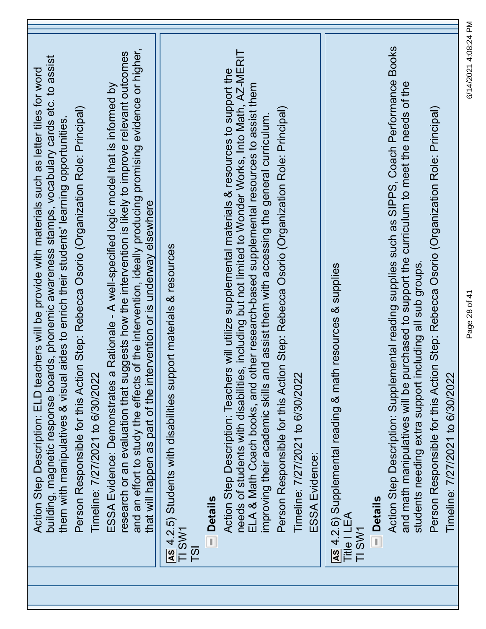| building, magnetic response boards, phonemic awareness stamps, vocabulary cards etc. to assist<br>achers will be provide with materials such as letter tiles for word<br>Person Responsible for this Action Step: Rebecca Osorio (Organization Role: Principal)<br>them with manipulatives & visual aides to enrich their students' learning opportunities<br>Timeline: 7/27/2021 to 6/30/2022<br>Action Step Description: ELD te |
|-----------------------------------------------------------------------------------------------------------------------------------------------------------------------------------------------------------------------------------------------------------------------------------------------------------------------------------------------------------------------------------------------------------------------------------|
| and an effort to study the effects of the intervention, ideally producing promising evidence or higher,<br>research or an evaluation that suggests how the intervention is likely to improve relevant outcomes<br>ESSA Evidence: Demonstrates a Rationale - A well-specified logic model that is informed by<br>that will happen as part of the intervention or is underway elsewhere                                             |
| AS 4.2.5) Students with disabilities support materials & resources<br>TI SW1<br>$\overline{15}$                                                                                                                                                                                                                                                                                                                                   |
| <b>Details</b>                                                                                                                                                                                                                                                                                                                                                                                                                    |
| needs of students with disabilities, including but not limited to Wonder Works, Into Math, AZ-MERIT<br>Action Step Description: Teachers will utilize supplemental materials & resources to support the<br>other research-based supplemental resources to assist them<br>improving their academic skills and assist them with accessing the general curriculum.<br>ELA & Math Coach books, and                                    |
| Person Responsible for this Action Step: Rebecca Osorio (Organization Role: Principal)<br>Timeline: 7/27/2021 to 6/30/2022                                                                                                                                                                                                                                                                                                        |
| ESSA Evidence:                                                                                                                                                                                                                                                                                                                                                                                                                    |
| AS 4.2.6) Supplemental reading & math resources & supplies<br>Title I LEA<br>TI SW1                                                                                                                                                                                                                                                                                                                                               |
| - Details                                                                                                                                                                                                                                                                                                                                                                                                                         |
| Action Step Description: Supplemental reading supplies such as SIPPS, Coach Performance Books<br>purchased to support the curriculum to meet the needs of the<br>students needing extra support including all sub groups.<br>and math manipulatives will be                                                                                                                                                                       |
| Person Responsible for this Action Step: Rebecca Osorio (Organization Role: Principal)                                                                                                                                                                                                                                                                                                                                            |
| Timeline: 7/27/2021 to 6/30/2022                                                                                                                                                                                                                                                                                                                                                                                                  |

Page 28 of 41 6/14/2021 4:08:24 PM

Page 28 of 41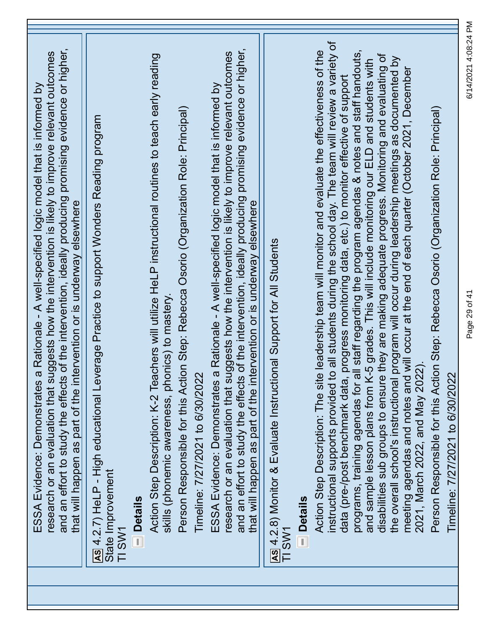| and an effort to study the effects of the intervention, ideally producing promising evidence or higher,<br>research or an evaluation that suggests how the intervention is likely to improve relevant outcomes<br>a Rationale - A well-specified logic model that is informed by<br>that will happen as part of the intervention or is underway elsewhere<br>ESSA Evidence: Demonstrates |  |
|------------------------------------------------------------------------------------------------------------------------------------------------------------------------------------------------------------------------------------------------------------------------------------------------------------------------------------------------------------------------------------------|--|
| AS 4.2.7) HeLP - High educational Leverage Practice to support Wonders Reading program<br>State Improvement<br>TI SW1                                                                                                                                                                                                                                                                    |  |
| <b>Details</b>                                                                                                                                                                                                                                                                                                                                                                           |  |
| Action Step Description: K-2 Teachers will utilize HeLP instructional routines to teach early reading<br>skills (phonemic awareness, phonics) to mastery                                                                                                                                                                                                                                 |  |
| Person Responsible for this Action Step: Rebecca Osorio (Organization Role: Principal)                                                                                                                                                                                                                                                                                                   |  |
| Timeline: 7/27/2021 to 6/30/2022                                                                                                                                                                                                                                                                                                                                                         |  |
| a Rationale - A well-specified logic model that is informed by<br>ESSA Evidence: Demonstrates                                                                                                                                                                                                                                                                                            |  |
| and an effort to study the effects of the intervention, ideally producing promising evidence or higher,<br>research or an evaluation that suggests how the intervention is likely to improve relevant outcomes                                                                                                                                                                           |  |
| that will happen as part of the intervention or is underway elsewhere                                                                                                                                                                                                                                                                                                                    |  |
| AS 4.2.8) Monitor & Evaluate Instructional Support for All Students<br>TI SW1                                                                                                                                                                                                                                                                                                            |  |
| <b>Details</b>                                                                                                                                                                                                                                                                                                                                                                           |  |
| instructional supports provided to all students during the school day. The team will review a variety of<br>Action Step Description: The site leadership team will monitor and evaluate the effectiveness of the                                                                                                                                                                         |  |
| progress monitoring data, etc.) to monitor effective of support<br>data (pre-/post benchmark data,                                                                                                                                                                                                                                                                                       |  |
| programs, training agendas for all staff regarding the program agendas & notes and staff handouts,<br>and sample lesson plans from K-5 grades. This will include monitoring our ELD and students with                                                                                                                                                                                    |  |
| disabilities sub groups to ensure they are making adequate progress. Monitoring and evaluating of                                                                                                                                                                                                                                                                                        |  |
| program will occur during leadership meetings as documented by<br>the overall school's instructional                                                                                                                                                                                                                                                                                     |  |
| will occur at the end of each quarter (October 2021, December<br>2021, March 2022, and May 2022)<br>meeting agendas and notes and                                                                                                                                                                                                                                                        |  |
| Person Responsible for this Action Step: Rebecca Osorio (Organization Role: Principal)                                                                                                                                                                                                                                                                                                   |  |
| Timeline: 7/27/2021 to 6/30/2022                                                                                                                                                                                                                                                                                                                                                         |  |

Page 29 of 41 6/14/2021 4:08:24 PM

Page 29 of 41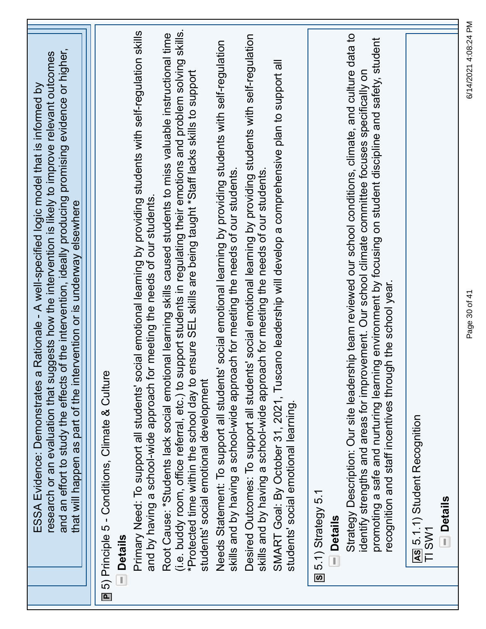| and an effort to study the effects of the intervention, ideally producing promising evidence or higher,<br>research or an evaluation that suggests how the intervention is likely to improve relevant outcomes<br>a Rationale - A well-specified logic model that is informed by<br>that will happen as part of the intervention or is underway elsewhere<br>ESSA Evidence: Demonstrates               |  |
|--------------------------------------------------------------------------------------------------------------------------------------------------------------------------------------------------------------------------------------------------------------------------------------------------------------------------------------------------------------------------------------------------------|--|
| ■ 5) Principle 5 - Conditions, Climate & Culture<br><b>Details</b>                                                                                                                                                                                                                                                                                                                                     |  |
| social emotional learning by providing students with self-regulation skills<br>for meeting the needs of our students.<br>and by having a school-wide approach<br>Primary Need: To support all students'                                                                                                                                                                                                |  |
| support students in regulating their emotions and problem solving skills.<br>Root Cause: *Students lack social emotional learning skills caused students to miss valuable instructional time<br>ensure SEL skills are being taught *Staff lacks skills to support<br>(i.e. buddy room, office referral, etc.) to<br>*Protected time within the school day to<br>students' social emotional development |  |
| Needs Statement: To support all students' social emotional learning by providing students with self-regulation<br>skills and by having a school-wide approach for meeting the needs of our students.                                                                                                                                                                                                   |  |
| Desired Outcomes: To support all students' social emotional learning by providing students with self-regulation<br>skills and by having a school-wide approach for meeting the needs of our students                                                                                                                                                                                                   |  |
| SMART Goal: By October 31, 2021, Tuscano leadership will develop a comprehensive plan to support all<br>students' social emotional learning                                                                                                                                                                                                                                                            |  |
| S 5.1) Strategy 5.1<br><b>Details</b><br>ij                                                                                                                                                                                                                                                                                                                                                            |  |
| Strategy Description: Our site leadership team reviewed our school conditions, climate, and culture data to<br>promoting a safe and nurturing learning environment by focusing on student discipline and safety, student<br>identify strengths and areas for improvement. Our school climate committee focuses specifically on<br>recognition and staff incentives through the school year.            |  |
| AS 5.1.1) Student Recognition<br><b>Details</b><br>TI SW1                                                                                                                                                                                                                                                                                                                                              |  |

Page 30 of 41 6/14/2021 4:08:24 PM

Page 30 of 41

6/14/2021 4:08:24 PM

٦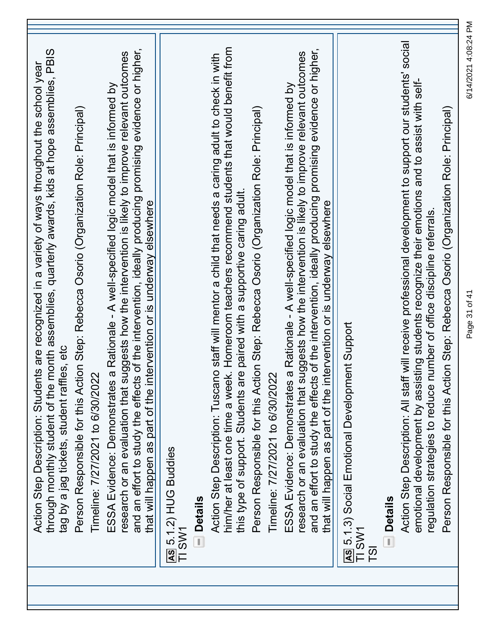| through monthly student of the month assemblies, quarterly awards, kids at hope assemblies, PBIS<br>Action Step Description: Students are recognized in a variety of ways throughout the school year<br>tag by a jag tickets, student raffles, etc                                                                                                                                       |
|------------------------------------------------------------------------------------------------------------------------------------------------------------------------------------------------------------------------------------------------------------------------------------------------------------------------------------------------------------------------------------------|
| Person Responsible for this Action Step: Rebecca Osorio (Organization Role: Principal)<br>Timeline: 7/27/2021 to 6/30/2022                                                                                                                                                                                                                                                               |
| and an effort to study the effects of the intervention, ideally producing promising evidence or higher,<br>research or an evaluation that suggests how the intervention is likely to improve relevant outcomes<br>a Rationale - A well-specified logic model that is informed by<br>that will happen as part of the intervention or is underway elsewhere<br>ESSA Evidence: Demonstrates |
| AS 5.1.2) HUG Buddies<br>TI SW1                                                                                                                                                                                                                                                                                                                                                          |
| <b>Details</b>                                                                                                                                                                                                                                                                                                                                                                           |
| him/her at least one time a week. Homeroom teachers recommend students that would benefit from<br>Action Step Description: Tuscano staff will mentor a child that needs a caring adult to check in with<br>Person Responsible for this Action Step: Rebecca Osorio (Organization Role: Principal)<br>this type of support. Students are paired with a supportive caring adult.           |
| Timeline: 7/27/2021 to 6/30/2022                                                                                                                                                                                                                                                                                                                                                         |
| and an effort to study the effects of the intervention, ideally producing promising evidence or higher,<br>research or an evaluation that suggests how the intervention is likely to improve relevant outcomes<br>a Rationale - A well-specified logic model that is informed by<br>that will happen as part of the intervention or is underway elsewhere<br>ESSA Evidence: Demonstrates |
| <b>AS 5.1.3)</b> Social Emotional Development<br>TI SW1<br>$\overline{15}$                                                                                                                                                                                                                                                                                                               |
| <b>Details</b><br>$\overline{\mathbb{L}}$                                                                                                                                                                                                                                                                                                                                                |
| Action Step Description: All staff will receive professional development to support our students' social<br>emotional development by assisting students recognize their emotions and to assist with self-<br>Person Responsible for this Action Step: Rebecca Osorio (Organization Role: Principal)<br>regulation strategies to reduce number of office discipline referrals             |
|                                                                                                                                                                                                                                                                                                                                                                                          |

Page 31 of 41 6/14/2021 4:08:24 PM

Page 31 of 41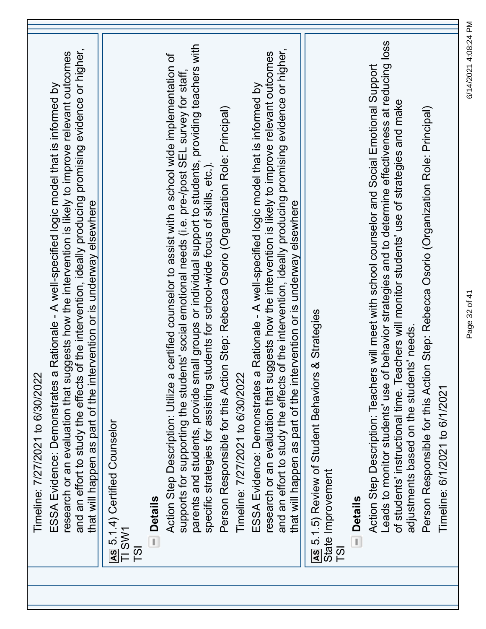| Timeline: 7/27/2021 to 6/30/2022                                                                                                                                                                                                                                                                                                                      |
|-------------------------------------------------------------------------------------------------------------------------------------------------------------------------------------------------------------------------------------------------------------------------------------------------------------------------------------------------------|
| and an effort to study the effects of the intervention, ideally producing promising evidence or higher,<br>research or an evaluation that suggests how the intervention is likely to improve relevant outcomes<br>ESSA Evidence: Demonstrates a Rationale - A well-specified logic model that is informed by                                          |
| that will happen as part of the intervention or is underway elsewhere                                                                                                                                                                                                                                                                                 |
| AS 5.1.4) Certified Counselor<br>TI SW1                                                                                                                                                                                                                                                                                                               |
| <b>Details</b><br>$\overline{5}$                                                                                                                                                                                                                                                                                                                      |
| a certified counselor to assist with a school wide implementation of<br>supports for supporting the students' social emotional needs (i.e. pre-/post SEL survey for staff,<br>Action Step Description: Utilize                                                                                                                                        |
| parents and students, provide small groups or individual support to students, providing teachers with<br>students for school-wide focus of skills, etc.).<br>specific strategies for assisting                                                                                                                                                        |
| Person Responsible for this Action Step: Rebecca Osorio (Organization Role: Principal)                                                                                                                                                                                                                                                                |
| Timeline: 7/27/2021 to 6/30/2022                                                                                                                                                                                                                                                                                                                      |
| and an effort to study the effects of the intervention, ideally producing promising evidence or higher,<br>research or an evaluation that suggests how the intervention is likely to improve relevant outcomes<br>a Rationale - A well-specified logic model that is informed by<br>ESSA Evidence: Demonstrates                                       |
| that will happen as part of the intervention or is underway elsewhere                                                                                                                                                                                                                                                                                 |
| 's & Strategies<br>AS 5.1.5) Review of Student Behavior<br>State Improvement                                                                                                                                                                                                                                                                          |
| <b>Details</b><br>$\overline{\mathbb{L}}$<br>$\overline{5}$                                                                                                                                                                                                                                                                                           |
| of behavior strategies and to determine effectiveness at reducing loss<br>Action Step Description: Teachers will meet with school counselor and Social Emotional Support<br>of students' instructional time. Teachers will monitor students' use of strategies and make<br>adjustments based on the students' needs<br>Leads to monitor students' use |
| Person Responsible for this Action Step: Rebecca Osorio (Organization Role: Principal)<br>Timeline: 6/1/2021 to 6/1/2021                                                                                                                                                                                                                              |
|                                                                                                                                                                                                                                                                                                                                                       |

Page 32 of 41 6/14/2021 4:08:24 PM

Page 32 of 41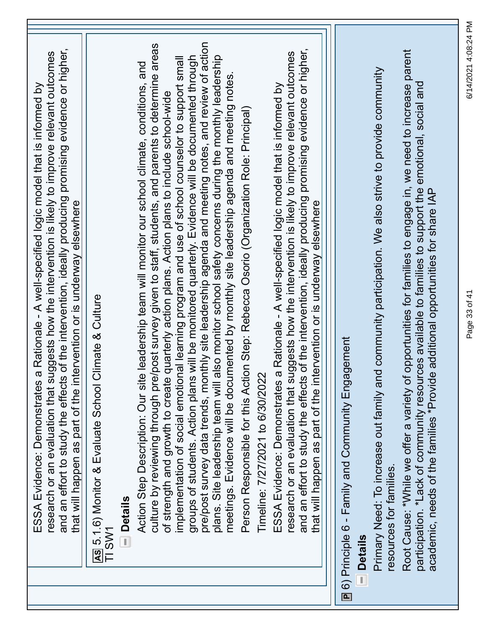|   | and an effort to study the effects of the intervention, ideally producing promising evidence or higher,<br>research or an evaluation that suggests how the intervention is likely to improve relevant outcomes<br>ESSA Evidence: Demonstrates a Rationale - A well-specified logic model that is informed by<br>ervention or is underway elsewhere<br>that will happen as part of the int |
|---|-------------------------------------------------------------------------------------------------------------------------------------------------------------------------------------------------------------------------------------------------------------------------------------------------------------------------------------------------------------------------------------------|
|   | AS 5.1.6) Monitor & Evaluate School Climate & Culture<br>TI SW1                                                                                                                                                                                                                                                                                                                           |
|   | <b>Details</b><br>Ţ                                                                                                                                                                                                                                                                                                                                                                       |
|   | post survey given to staff, students, and parents to determine areas<br>Action Step Description: Our site leadership team will monitor our school climate, conditions, and                                                                                                                                                                                                                |
|   | implementation of social emotional learning program and use of school counselor to support small<br>quarterly action plans. Action plans to include school-wide<br>culture by reviewing through pre/<br>of strength and growth to create                                                                                                                                                  |
|   | will be monitored quarterly. Evidence will be documented through<br>groups of students. Action plans                                                                                                                                                                                                                                                                                      |
|   | pre/post survey data trends, monthly site leadership agenda and meeting notes, and review of action<br>plans. Site leadership team will also monitor school safety concerns during the monthly leadership                                                                                                                                                                                 |
|   | meetings. Evidence will be documented by monthly site leadership agenda and meeting notes.                                                                                                                                                                                                                                                                                                |
|   | Person Responsible for this Action Step: Rebecca Osorio (Organization Role: Principal)                                                                                                                                                                                                                                                                                                    |
|   | Timeline: 7/27/2021 to 6/30/2022                                                                                                                                                                                                                                                                                                                                                          |
|   | ESSA Evidence: Demonstrates a Rationale - A well-specified logic model that is informed by                                                                                                                                                                                                                                                                                                |
|   | and an effort to study the effects of the intervention, ideally producing promising evidence or higher,<br>research or an evaluation that suggests how the intervention is likely to improve relevant outcomes                                                                                                                                                                            |
|   | that will happen as part of the intervention or is underway elsewhere                                                                                                                                                                                                                                                                                                                     |
|   |                                                                                                                                                                                                                                                                                                                                                                                           |
|   | gement<br><b>E</b> 6) Principle 6 - Family and Community Enga                                                                                                                                                                                                                                                                                                                             |
| ī | <b>Details</b>                                                                                                                                                                                                                                                                                                                                                                            |
|   | Primary Need: To increase out family and community participation. We also strive to provide community<br>resources for families.                                                                                                                                                                                                                                                          |
|   | Root Cause: *While we offer a variety of opportunities for families to engage in, we need to increase parent<br>participation. *Lack of community resources available to families to support the emotional, social and                                                                                                                                                                    |
|   | academic, needs of the families *Provide additional opportunities for share IAP                                                                                                                                                                                                                                                                                                           |
|   |                                                                                                                                                                                                                                                                                                                                                                                           |

Page 33 of 41 6/14/2021 4:08:24 PM

Page 33 of 41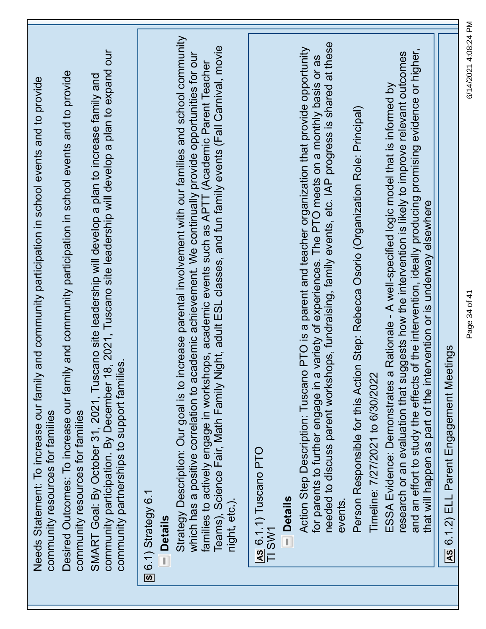| community participation. By December 18, 2021, Tuscano site leadership will develop a plan to expand our<br>Desired Outcomes: To increase our family and community participation in school events and to provide<br>SMART Goal: By October 31, 2021, Tuscano site leadership will develop a plan to increase family and<br>and community participation in school events and to provide<br>community partnerships to support families.<br>Needs Statement: To increase our family<br>community resources for families<br>community resources for families | Strategy Description: Our goal is to increase parental involvement with our families and school community<br>Teams), Science Fair, Math Family Night, adult ESL classes, and fun family events (Fall Carnival, movie<br>which has a positive correlation to academic achievement. We continually provide opportunities for our<br>families to actively engage in workshops, academic events such as APTT (Academic Parent Teacher<br><b>Section</b> Strategy 6.1<br>night, etc.).<br><b>Details</b> | Action Step Description: Tuscano PTO is a parent and teacher organization that provide opportunity<br>for parents to further engage in a variety of experiences. The PTO meets on a monthly basis or as<br>needed to discuss parent<br><b>AS 6.1.1) Tuscano PTO</b><br><b>Details</b><br>events<br>TI SW1<br>T) | of the intervention, ideally producing promising evidence or higher,<br>research or an evaluation that suggests how the intervention is likely to improve relevant outcomes<br>ESSA Evidence: Demonstrates a Rationale - A well-specified logic model that is informed by<br>Person Responsible for this Action Step: Rebecca Osorio (Organization Role: Principal)<br>that will happen as part of the intervention or is underway elsewhere<br>Timeline: 7/27/2021 to 6/30/2022<br>and an effort to study the effects | 6/14/2021 4:08:24 PM<br>Page 34 of 41<br>AS 6.1.2) ELL Parent Engagement Meetings |
|----------------------------------------------------------------------------------------------------------------------------------------------------------------------------------------------------------------------------------------------------------------------------------------------------------------------------------------------------------------------------------------------------------------------------------------------------------------------------------------------------------------------------------------------------------|-----------------------------------------------------------------------------------------------------------------------------------------------------------------------------------------------------------------------------------------------------------------------------------------------------------------------------------------------------------------------------------------------------------------------------------------------------------------------------------------------------|-----------------------------------------------------------------------------------------------------------------------------------------------------------------------------------------------------------------------------------------------------------------------------------------------------------------|------------------------------------------------------------------------------------------------------------------------------------------------------------------------------------------------------------------------------------------------------------------------------------------------------------------------------------------------------------------------------------------------------------------------------------------------------------------------------------------------------------------------|-----------------------------------------------------------------------------------|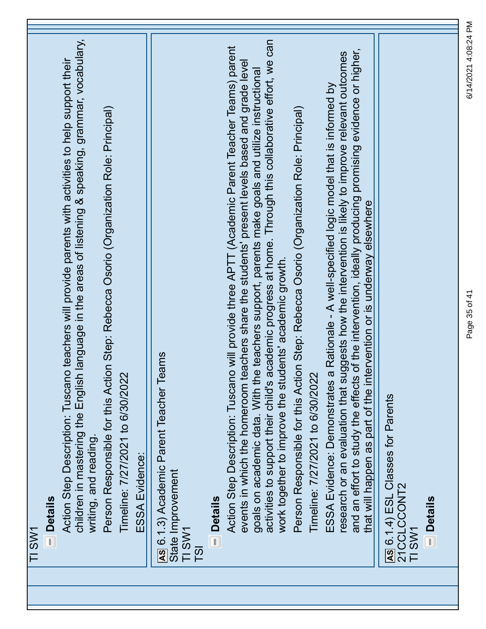| TI SW1                                                                                                                                                                                                                                                                                                                                                                                                                 |  |
|------------------------------------------------------------------------------------------------------------------------------------------------------------------------------------------------------------------------------------------------------------------------------------------------------------------------------------------------------------------------------------------------------------------------|--|
| <b>Details</b>                                                                                                                                                                                                                                                                                                                                                                                                         |  |
| children in mastering the English language in the areas of listening & speaking, grammar, vocabulary,<br>Action Step Description: Tuscano teachers will provide parents with activities to help support their<br>writing, and reading.                                                                                                                                                                                 |  |
| Person Responsible for this Action Step: Rebecca Osorio (Organization Role: Principal)                                                                                                                                                                                                                                                                                                                                 |  |
| Timeline: 7/27/2021 to 6/30/2022                                                                                                                                                                                                                                                                                                                                                                                       |  |
| ESSA Evidence:                                                                                                                                                                                                                                                                                                                                                                                                         |  |
| AS 6.1.3) Academic Parent Teacher Teams<br>State Improvement<br>TI SW1<br>T <sub>S</sub> I                                                                                                                                                                                                                                                                                                                             |  |
| <b>Details</b>                                                                                                                                                                                                                                                                                                                                                                                                         |  |
| academic progress at home. Through this collaborative effort, we can<br>Action Step Description: Tuscano will provide three APTT (Academic Parent Teacher Teams) parent<br>teachers share the students' present levels based and grade level<br>goals on academic data. With the teachers support, parents make goals and utilize instructional<br>activities to support their child's<br>events in which the homeroom |  |
| Person Responsible for this Action Step: Rebecca Osorio (Organization Role: Principal)<br>work together to improve the students' academic growth.                                                                                                                                                                                                                                                                      |  |
| Timeline: 7/27/2021 to 6/30/2022                                                                                                                                                                                                                                                                                                                                                                                       |  |
| research or an evaluation that suggests how the intervention is likely to improve relevant outcomes<br>a Rationale - A well-specified logic model that is informed by<br>ESSA Evidence: Demonstrates                                                                                                                                                                                                                   |  |
| and an effort to study the effects of the intervention, ideally producing promising evidence or higher,<br>that will happen as part of the intervention or is underway elsewhere                                                                                                                                                                                                                                       |  |
| AS 6.1.4) ESL Classes for Parents<br>21CCLCCONT2<br>TI SW1                                                                                                                                                                                                                                                                                                                                                             |  |
| <b>Details</b>                                                                                                                                                                                                                                                                                                                                                                                                         |  |
|                                                                                                                                                                                                                                                                                                                                                                                                                        |  |

6/14/2021 4:08:24 PM Page 35 of 41 6/14/2021 4:08:24 PM

Page 35 of 41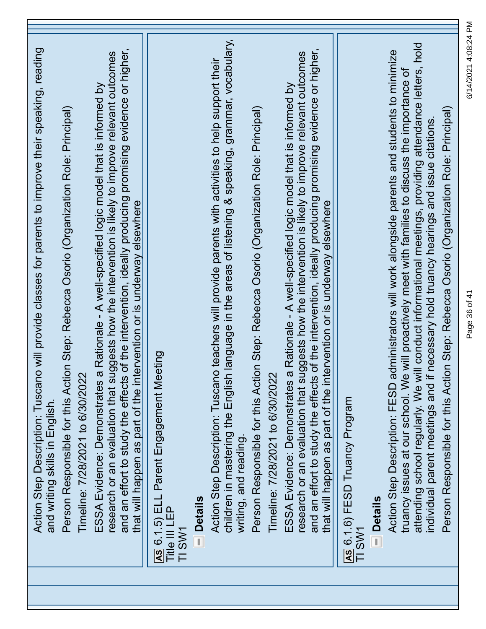| Action Step Description: Tuscano will provide classes for parents to improve their speaking, reading<br>and writing skills in English.                                                                                                                                                                                                                                                                                                                                                                 |
|--------------------------------------------------------------------------------------------------------------------------------------------------------------------------------------------------------------------------------------------------------------------------------------------------------------------------------------------------------------------------------------------------------------------------------------------------------------------------------------------------------|
| Person Responsible for this Action Step: Rebecca Osorio (Organization Role: Principal)<br>Timeline: 7/28/2021 to 6/30/2022                                                                                                                                                                                                                                                                                                                                                                             |
| and an effort to study the effects of the intervention, ideally producing promising evidence or higher,<br>research or an evaluation that suggests how the intervention is likely to improve relevant outcomes<br>ESSA Evidence: Demonstrates a Rationale - A well-specified logic model that is informed by<br>that will happen as part of the intervention or is underway elsewhere                                                                                                                  |
| AS 6.1.5) ELL Parent Engagement Meeting<br>Title III LEP<br>TI SW1                                                                                                                                                                                                                                                                                                                                                                                                                                     |
| <b>Details</b>                                                                                                                                                                                                                                                                                                                                                                                                                                                                                         |
| children in mastering the English language in the areas of listening & speaking, grammar, vocabulary,<br>Action Step Description: Tuscano teachers will provide parents with activities to help support their<br>writing, and reading.                                                                                                                                                                                                                                                                 |
| Person Responsible for this Action Step: Rebecca Osorio (Organization Role: Principal)<br>Timeline: 7/28/2021 to 6/30/2022                                                                                                                                                                                                                                                                                                                                                                             |
| and an effort to study the effects of the intervention, ideally producing promising evidence or higher,<br>research or an evaluation that suggests how the intervention is likely to improve relevant outcomes<br>ESSA Evidence: Demonstrates a Rationale - A well-specified logic model that is informed by<br>that will happen as part of the intervention or is underway elsewhere                                                                                                                  |
| AS 6.1.6) FESD Truancy Program<br>TI SW1                                                                                                                                                                                                                                                                                                                                                                                                                                                               |
| <b>Details</b>                                                                                                                                                                                                                                                                                                                                                                                                                                                                                         |
| attending school regularly. We will conduct informational meetings, providing attendance letters, hold<br>Action Step Description: FESD administrators will work alongside parents and students to minimize<br>truancy issues at our school. We will proactively meet with families to discuss the importance of<br>Person Responsible for this Action Step: Rebecca Osorio (Organization Role: Principal)<br>if necessary hold truancy hearings and issue citations<br>individual parent meetings and |

Page 36 of 41 6/14/2021 4:08:24 PM

Page 36 of 41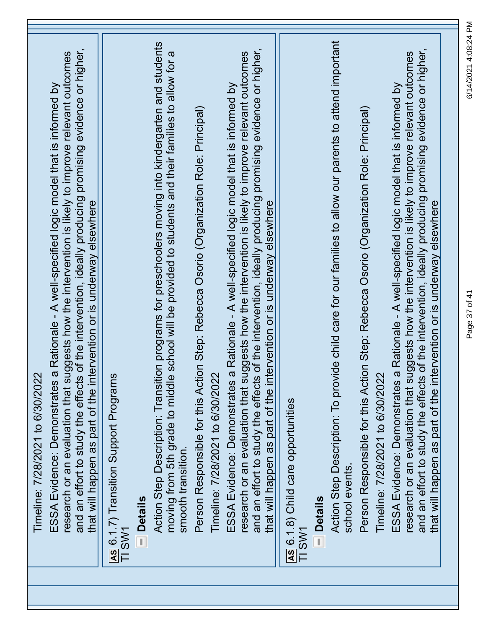| and an effort to study the effects of the intervention, ideally producing promising evidence or higher,<br>research or an evaluation that suggests how the intervention is likely to improve relevant outcomes<br>a Rationale - A well-specified logic model that is informed by |                                                                   | ion programs for preschoolers moving into kindergarten and students<br>moving from 5th grade to middle school will be provided to students and their families to allow for a | Person Responsible for this Action Step: Rebecca Osorio (Organization Role: Principal) | and an effort to study the effects of the intervention, ideally producing promising evidence or higher,<br>research or an evaluation that suggests how the intervention is likely to improve relevant outcomes<br>a Rationale - A well-specified logic model that is informed by |                                              |                | Action Step Description: To provide child care for our families to allow our parents to attend important | Person Responsible for this Action Step: Rebecca Osorio (Organization Role: Principal) | and an effort to study the effects of the intervention, ideally producing promising evidence or higher,<br>research or an evaluation that suggests how the intervention is likely to improve relevant outcomes<br>a Rationale - A well-specified logic model that is informed by |  |
|----------------------------------------------------------------------------------------------------------------------------------------------------------------------------------------------------------------------------------------------------------------------------------|-------------------------------------------------------------------|------------------------------------------------------------------------------------------------------------------------------------------------------------------------------|----------------------------------------------------------------------------------------|----------------------------------------------------------------------------------------------------------------------------------------------------------------------------------------------------------------------------------------------------------------------------------|----------------------------------------------|----------------|----------------------------------------------------------------------------------------------------------|----------------------------------------------------------------------------------------|----------------------------------------------------------------------------------------------------------------------------------------------------------------------------------------------------------------------------------------------------------------------------------|--|
| that will happen as part of the intervention or is underway elsewhere                                                                                                                                                                                                            |                                                                   |                                                                                                                                                                              |                                                                                        | that will happen as part of the intervention or is underway elsewhere                                                                                                                                                                                                            |                                              |                |                                                                                                          |                                                                                        | that will happen as part of the intervention or is underway elsewhere                                                                                                                                                                                                            |  |
|                                                                                                                                                                                                                                                                                  |                                                                   |                                                                                                                                                                              |                                                                                        |                                                                                                                                                                                                                                                                                  |                                              |                |                                                                                                          |                                                                                        |                                                                                                                                                                                                                                                                                  |  |
|                                                                                                                                                                                                                                                                                  |                                                                   |                                                                                                                                                                              |                                                                                        |                                                                                                                                                                                                                                                                                  |                                              |                |                                                                                                          |                                                                                        |                                                                                                                                                                                                                                                                                  |  |
| Timeline: 7/28/2021 to 6/30/2022<br>ESSA Evidence: Demonstrates                                                                                                                                                                                                                  | AS 6.1.7) Transition Support Programs<br>TI SW1<br><b>Details</b> | <b>Action Step Description: Transiti</b><br>smooth transition.                                                                                                               | Timeline: 7/28/2021 to 6/30/2022                                                       | ESSA Evidence: Demonstrates                                                                                                                                                                                                                                                      | AS 6.1.8) Child care opportunities<br>TI SW1 | <b>Details</b> | school events.                                                                                           | Timeline: 7/28/2021 to 6/30/2022                                                       | ESSA Evidence: Demonstrates                                                                                                                                                                                                                                                      |  |
|                                                                                                                                                                                                                                                                                  |                                                                   |                                                                                                                                                                              |                                                                                        |                                                                                                                                                                                                                                                                                  |                                              |                |                                                                                                          |                                                                                        |                                                                                                                                                                                                                                                                                  |  |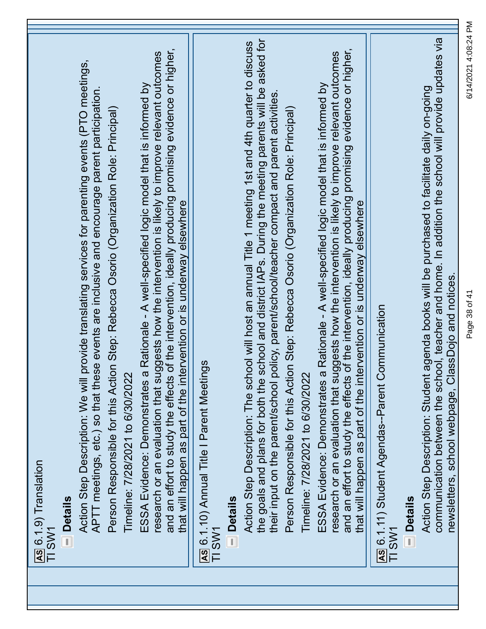| AS 6.1.9) Translation<br>TI SW1                                                                                                                                                                                                                                                                                                                                                       |  |
|---------------------------------------------------------------------------------------------------------------------------------------------------------------------------------------------------------------------------------------------------------------------------------------------------------------------------------------------------------------------------------------|--|
| <b>Details</b>                                                                                                                                                                                                                                                                                                                                                                        |  |
| provide translating services for parenting events (PTO meetings,<br>APTT meetings, etc.) so that these events are inclusive and encourage parent participation.<br>Action Step Description: We will                                                                                                                                                                                   |  |
| Person Responsible for this Action Step: Rebecca Osorio (Organization Role: Principal)                                                                                                                                                                                                                                                                                                |  |
| Timeline: 7/28/2021 to 6/30/2022                                                                                                                                                                                                                                                                                                                                                      |  |
| and an effort to study the effects of the intervention, ideally producing promising evidence or higher,<br>research or an evaluation that suggests how the intervention is likely to improve relevant outcomes<br>ESSA Evidence: Demonstrates a Rationale - A well-specified logic model that is informed by<br>that will happen as part of the intervention or is underway elsewhere |  |
| AS 6.1.10) Annual Title I Parent Meetings<br>TI SW1                                                                                                                                                                                                                                                                                                                                   |  |
| <b>Details</b>                                                                                                                                                                                                                                                                                                                                                                        |  |
| the goals and plans for both the school and district IAPs. During the meeting parents will be asked for<br>Action Step Description: The school will host an annual Title 1 meeting 1st and 4th quarter to discuss<br>policy, parent/school/teacher compact and parent activities.<br>their input on the parent/school                                                                 |  |
| Person Responsible for this Action Step: Rebecca Osorio (Organization Role: Principal)<br>Timeline: 7/28/2021 to 6/30/2022                                                                                                                                                                                                                                                            |  |
| and an effort to study the effects of the intervention, ideally producing promising evidence or higher,<br>research or an evaluation that suggests how the intervention is likely to improve relevant outcomes<br>ESSA Evidence: Demonstrates a Rationale - A well-specified logic model that is informed by                                                                          |  |
| that will happen as part of the intervention or is underway elsewhere                                                                                                                                                                                                                                                                                                                 |  |
| Communication<br>As 6.1.11) Student Agendas--Parent<br>TI SW1                                                                                                                                                                                                                                                                                                                         |  |
| <b>Details</b>                                                                                                                                                                                                                                                                                                                                                                        |  |
| communication between the school, teacher and home. In addition the school will provide updates via<br>Action Step Description: Student agenda books will be purchased to facilitate daily on-going<br>newsletters, school webpage, ClassDojo and notices.                                                                                                                            |  |

Page 38 of 41 6/14/2021 4:08:24 PM

Page 38 of 41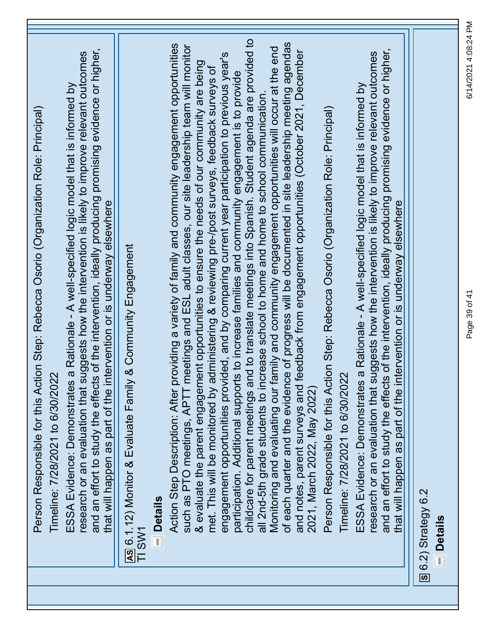| Person Responsible for this Action Step: Rebecca Osorio (Organization Role: Principal)<br>Timeline: 7/28/2021 to 6/30/2022                                                                                                                                                                                                                                                                                  |
|-------------------------------------------------------------------------------------------------------------------------------------------------------------------------------------------------------------------------------------------------------------------------------------------------------------------------------------------------------------------------------------------------------------|
| and an effort to study the effects of the intervention, ideally producing promising evidence or higher,<br>research or an evaluation that suggests how the intervention is likely to improve relevant outcomes<br>a Rationale - A well-specified logic model that is informed by<br>that will happen as part of the intervention or is underway elsewhere<br>ESSA Evidence: Demonstrates                    |
| & Community Engagement<br>AS 6.1.12) Monitor & Evaluate Family<br>TI SW1<br><b>Details</b>                                                                                                                                                                                                                                                                                                                  |
| Action Step Description: After providing a variety of family and community engagement opportunities<br>such as PTO meetings, APTT meetings and ESL adult classes, our site leadership team will monitor<br>& evaluate the parent engagement opportunities to ensure the needs of our community are being<br>met. This will be monitored by administering & reviewing pre-/post surveys, feedback surveys of |
| participation. Additional supports to increase families and community engagement is to provide<br>childcare for parent meetings and to translate meetings into Spanish. Student agenda are provided to<br>ided, and by comparing current year participation to previous year's<br>all 2nd-5th grade students to increase school to home and home to school communication.<br>engagement opportunities provi |
| of each quarter and the evidence of progress will be documented in site leadership meeting agendas<br>Monitoring and evaluating our family and community engagement opportunities will occur at the end<br>feedback from engagement opportunities (October 2021, December<br>and notes, parent surveys and<br>2021, March 2022, May 2022)                                                                   |
| Person Responsible for this Action Step: Rebecca Osorio (Organization Role: Principal)<br>Timeline: 7/28/2021 to 6/30/2022                                                                                                                                                                                                                                                                                  |
| and an effort to study the effects of the intervention, ideally producing promising evidence or higher,<br>research or an evaluation that suggests how the intervention is likely to improve relevant outcomes<br>ESSA Evidence: Demonstrates a Rationale - A well-specified logic model that is informed by<br>that will happen as part of the intervention or is underway elsewhere                       |
| S 6.2) Strategy 6.2<br><b>Details</b>                                                                                                                                                                                                                                                                                                                                                                       |

6/14/2021 4:08:24 PM Page 39 of 41 6/14/2021 4:08:24 PM

Page 39 of 41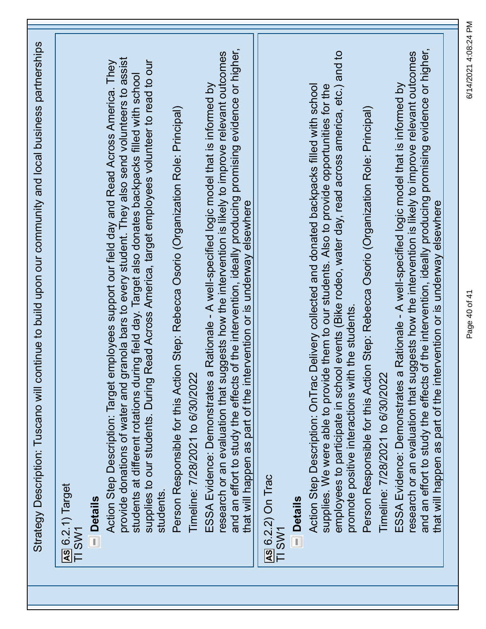| Strategy Description: Tuscano will continue to build upon our community and local business partnerships                                                                                                                                                                                                                                                                                                                            |  |
|------------------------------------------------------------------------------------------------------------------------------------------------------------------------------------------------------------------------------------------------------------------------------------------------------------------------------------------------------------------------------------------------------------------------------------|--|
| AS 6.2.1) Target<br>TI SW1                                                                                                                                                                                                                                                                                                                                                                                                         |  |
| <b>Details</b>                                                                                                                                                                                                                                                                                                                                                                                                                     |  |
| provide donations of water and granola bars to every student. They also send volunteers to assist<br>Read Across America, target employees volunteer to read to our<br>employees support our field day and Read Across America. They<br>iring field day. Target also donates backpacks filled with school<br>students at different rotations du<br>Action Step Description: Target<br>supplies to our students. During<br>students |  |
| Person Responsible for this Action Step: Rebecca Osorio (Organization Role: Principal)<br>Timeline: 7/28/2021 to 6/30/2022                                                                                                                                                                                                                                                                                                         |  |
| and an effort to study the effects of the intervention, ideally producing promising evidence or higher,<br>research or an evaluation that suggests how the intervention is likely to improve relevant outcomes<br>ESSA Evidence: Demonstrates a Rationale - A well-specified logic model that is informed by<br>tervention or is underway elsewhere<br>that will happen as part of the int                                         |  |
| AS 6.2.2) On Trac<br>TI SW1                                                                                                                                                                                                                                                                                                                                                                                                        |  |
| <b>Details</b>                                                                                                                                                                                                                                                                                                                                                                                                                     |  |
| employees to participate in school events (Bike rodeo, water day, read across america, etc.) and to<br>supplies. We were able to provide them to our students. Also to provide opportunities for the<br>Delivery collected and donated backpacks filled with school<br>promote positive interactions with the students<br>Action Step Description: OnTrac                                                                          |  |
| Person Responsible for this Action Step: Rebecca Osorio (Organization Role: Principal)<br>Timeline: 7/28/2021 to 6/30/2022                                                                                                                                                                                                                                                                                                         |  |
| and an effort to study the effects of the intervention, ideally producing promising evidence or higher,<br>research or an evaluation that suggests how the intervention is likely to improve relevant outcomes<br>ESSA Evidence: Demonstrates a Rationale - A well-specified logic model that is informed by<br>ervention or is underway elsewhere<br>that will happen as part of the int                                          |  |
|                                                                                                                                                                                                                                                                                                                                                                                                                                    |  |